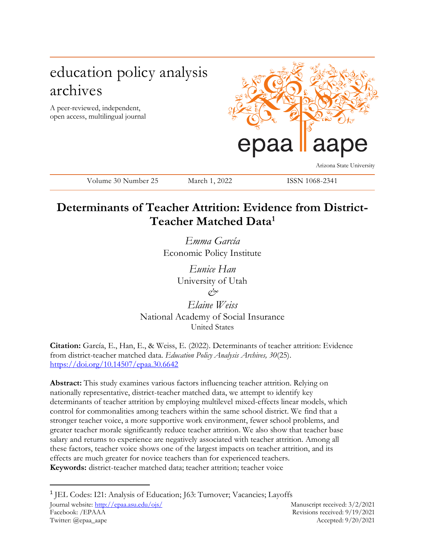# education policy analysis archives

A peer-reviewed, independent, open access, multilingual journal



Arizona State University

Volume 30 Number 25 March 1, 2022 ISSN 1068-2341

## **Determinants of Teacher Attrition: Evidence from District-Teacher Matched Data<sup>1</sup>**

*Emma García* Economic Policy Institute

> *Eunice Han* University of Utah *&*

*Elaine Weiss* National Academy of Social Insurance United States

**Citation:** García, E., Han, E., & Weiss, E. (2022). Determinants of teacher attrition: Evidence from district-teacher matched data. *Education Policy Analysis Archives, 30*(25). <https://doi.org/10.14507/epaa.30.6642>

**Abstract:** This study examines various factors influencing teacher attrition. Relying on nationally representative, district-teacher matched data, we attempt to identify key determinants of teacher attrition by employing multilevel mixed-effects linear models, which control for commonalities among teachers within the same school district. We find that a stronger teacher voice, a more supportive work environment, fewer school problems, and greater teacher morale significantly reduce teacher attrition. We also show that teacher base salary and returns to experience are negatively associated with teacher attrition. Among all these factors, teacher voice shows one of the largest impacts on teacher attrition, and its effects are much greater for novice teachers than for experienced teachers. **Keywords:** district-teacher matched data; teacher attrition; teacher voice

<sup>&</sup>lt;sup>1</sup> JEL Codes: I21: Analysis of Education; J63: Turnover; Vacancies; Layoffs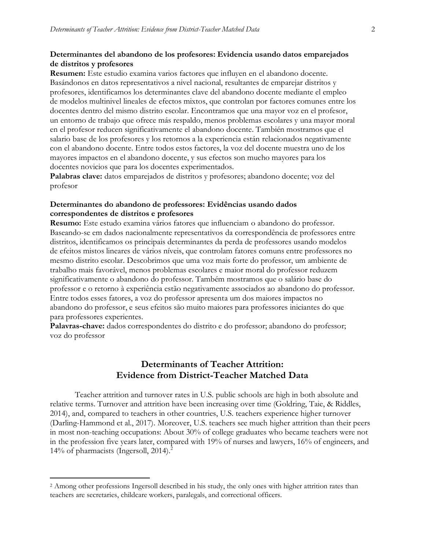#### **Determinantes del abandono de los profesores: Evidencia usando datos emparejados de distritos y profesores**

**Resumen:** Este estudio examina varios factores que influyen en el abandono docente. Basándonos en datos representativos a nivel nacional, resultantes de emparejar distritos y profesores, identificamos los determinantes clave del abandono docente mediante el empleo de modelos multinivel lineales de efectos mixtos, que controlan por factores comunes entre los docentes dentro del mismo distrito escolar. Encontramos que una mayor voz en el profesor, un entorno de trabajo que ofrece más respaldo, menos problemas escolares y una mayor moral en el profesor reducen significativamente el abandono docente. También mostramos que el salario base de los profesores y los retornos a la experiencia están relacionados negativamente con el abandono docente. Entre todos estos factores, la voz del docente muestra uno de los mayores impactos en el abandono docente, y sus efectos son mucho mayores para los docentes novicios que para los docentes experimentados.

**Palabras clave:** datos emparejados de distritos y profesores; abandono docente; voz del profesor

#### **Determinantes do abandono de professores: Evidências usando dados correspondentes de distritos e profesores**

**Resumo:** Este estudo examina vários fatores que influenciam o abandono do professor. Baseando-se em dados nacionalmente representativos da correspondência de professores entre distritos, identificamos os principais determinantes da perda de professores usando modelos de efeitos mistos lineares de vários níveis, que controlam fatores comuns entre professores no mesmo distrito escolar. Descobrimos que uma voz mais forte do professor, um ambiente de trabalho mais favorável, menos problemas escolares e maior moral do professor reduzem significativamente o abandono do professor. Também mostramos que o salário base do professor e o retorno à experiência estão negativamente associados ao abandono do professor. Entre todos esses fatores, a voz do professor apresenta um dos maiores impactos no abandono do professor, e seus efeitos são muito maiores para professores iniciantes do que para professores experientes.

**Palavras-chave:** dados correspondentes do distrito e do professor; abandono do professor; voz do professor

## **Determinants of Teacher Attrition: Evidence from District-Teacher Matched Data**

Teacher attrition and turnover rates in U.S. public schools are high in both absolute and relative terms. Turnover and attrition have been increasing over time (Goldring, Taie, & Riddles, 2014), and, compared to teachers in other countries, U.S. teachers experience higher turnover (Darling-Hammond et al., 2017). Moreover, U.S. teachers see much higher attrition than their peers in most non-teaching occupations: About 30% of college graduates who became teachers were not in the profession five years later, compared with 19% of nurses and lawyers, 16% of engineers, and 14% of pharmacists (Ingersoll, 2014).<sup>2</sup>

<sup>&</sup>lt;sup>2</sup> Among other professions Ingersoll described in his study, the only ones with higher attrition rates than teachers are secretaries, childcare workers, paralegals, and correctional officers.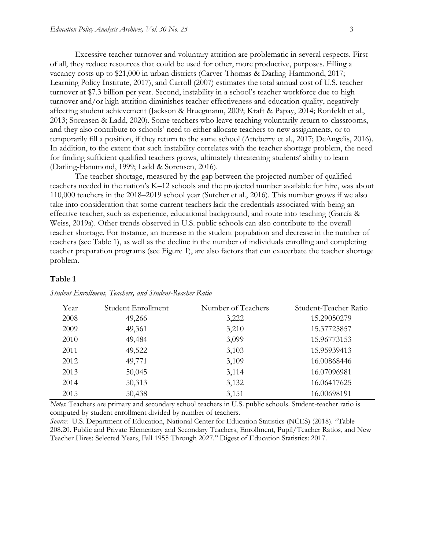Excessive teacher turnover and voluntary attrition are problematic in several respects. First of all, they reduce resources that could be used for other, more productive, purposes. Filling a vacancy costs up to \$21,000 in urban districts (Carver-Thomas & Darling-Hammond, 2017; Learning Policy Institute, 2017), and Carroll (2007) estimates the total annual cost of U.S. teacher turnover at \$7.3 billion per year. Second, instability in a school's teacher workforce due to high turnover and/or high attrition diminishes teacher effectiveness and education quality, negatively affecting student achievement (Jackson & Bruegmann, 2009; Kraft & Papay, 2014; Ronfeldt et al., 2013; Sorensen & Ladd, 2020). Some teachers who leave teaching voluntarily return to classrooms, and they also contribute to schools' need to either allocate teachers to new assignments, or to temporarily fill a position, if they return to the same school (Atteberry et al., 2017; DeAngelis, 2016). In addition, to the extent that such instability correlates with the teacher shortage problem, the need for finding sufficient qualified teachers grows, ultimately threatening students' ability to learn (Darling-Hammond, 1999; Ladd & Sorensen, 2016).

The teacher shortage, measured by the gap between the projected number of qualified teachers needed in the nation's K–12 schools and the projected number available for hire, was about 110,000 teachers in the 2018–2019 school year (Sutcher et al., 2016). This number grows if we also take into consideration that some current teachers lack the credentials associated with being an effective teacher, such as experience, educational background, and route into teaching (García & Weiss, 2019a). Other trends observed in U.S. public schools can also contribute to the overall teacher shortage. For instance, an increase in the student population and decrease in the number of teachers (see Table 1), as well as the decline in the number of individuals enrolling and completing teacher preparation programs (see Figure 1), are also factors that can exacerbate the teacher shortage problem.

#### **Table 1**

| Year | Student Enrollment | Number of Teachers | Student-Teacher Ratio |
|------|--------------------|--------------------|-----------------------|
| 2008 | 49,266             | 3,222              | 15.29050279           |
| 2009 | 49,361             | 3,210              | 15.37725857           |
| 2010 | 49,484             | 3,099              | 15.96773153           |
| 2011 | 49,522             | 3,103              | 15.95939413           |
| 2012 | 49,771             | 3,109              | 16.00868446           |
| 2013 | 50,045             | 3,114              | 16.07096981           |
| 2014 | 50,313             | 3,132              | 16.06417625           |
| 2015 | 50,438             | 3,151              | 16.00698191           |

*Student Enrollment, Teachers, and Student-Reacher Ratio*

*Notes*: Teachers are primary and secondary school teachers in U.S. public schools. Student-teacher ratio is computed by student enrollment divided by number of teachers.

*Source*: U.S. Department of Education, National Center for Education Statistics (NCES) (2018). "Table 208.20. Public and Private Elementary and Secondary Teachers, Enrollment, Pupil/Teacher Ratios, and New Teacher Hires: Selected Years, Fall 1955 Through 2027." Digest of Education Statistics: 2017.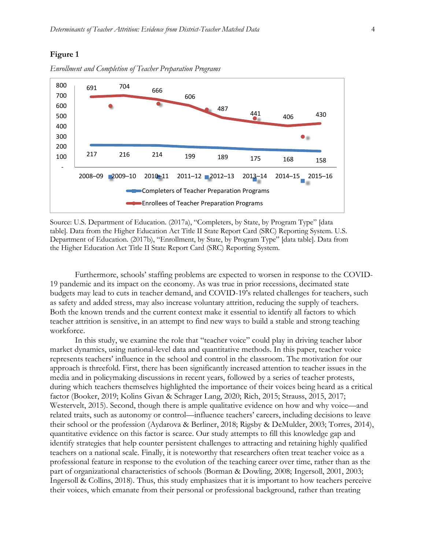#### **Figure 1**



*Enrollment and Completion of Teacher Preparation Programs*

Source: U.S. Department of Education. (2017a), "Completers, by State, by Program Type" [data table]. Data from the Higher Education Act Title II State Report Card (SRC) Reporting System. U.S. Department of Education. (2017b), "Enrollment, by State, by Program Type" [data table]. Data from the Higher Education Act Title II State Report Card (SRC) Reporting System.

Furthermore, schools' staffing problems are expected to worsen in response to the COVID-19 pandemic and its impact on the economy. As was true in prior recessions, decimated state budgets may lead to cuts in teacher demand, and COVID-19's related challenges for teachers, such as safety and added stress, may also increase voluntary attrition, reducing the supply of teachers. Both the known trends and the current context make it essential to identify all factors to which teacher attrition is sensitive, in an attempt to find new ways to build a stable and strong teaching workforce.

In this study, we examine the role that "teacher voice" could play in driving teacher labor market dynamics, using national-level data and quantitative methods. In this paper, teacher voice represents teachers' influence in the school and control in the classroom. The motivation for our approach is threefold. First, there has been significantly increased attention to teacher issues in the media and in policymaking discussions in recent years, followed by a series of teacher protests, during which teachers themselves highlighted the importance of their voices being heard as a critical factor (Booker, 2019; Kolins Givan & Schrager Lang, 2020; Rich, 2015; Strauss, 2015, 2017; Westervelt, 2015). Second, though there is ample qualitative evidence on how and why voice—and related traits, such as autonomy or control—influence teachers' careers, including decisions to leave their school or the profession (Aydarova & Berliner, 2018; Rigsby & DeMulder, 2003; Torres, 2014), quantitative evidence on this factor is scarce. Our study attempts to fill this knowledge gap and identify strategies that help counter persistent challenges to attracting and retaining highly qualified teachers on a national scale. Finally, it is noteworthy that researchers often treat teacher voice as a professional feature in response to the evolution of the teaching career over time, rather than as the part of organizational characteristics of schools (Borman & Dowling, 2008; Ingersoll, 2001, 2003; Ingersoll & Collins, 2018). Thus, this study emphasizes that it is important to how teachers perceive their voices, which emanate from their personal or professional background, rather than treating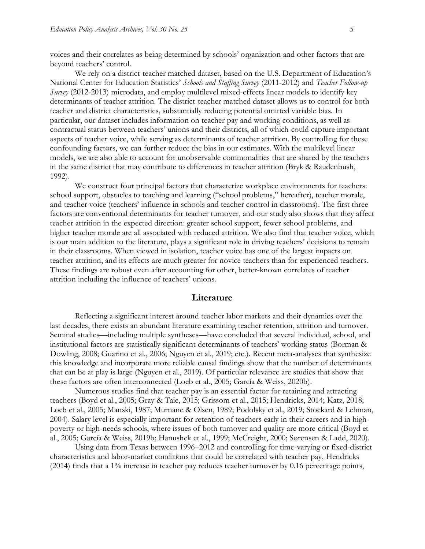voices and their correlates as being determined by schools' organization and other factors that are beyond teachers' control.

We rely on a district-teacher matched dataset, based on the U.S. Department of Education's National Center for Education Statistics' *Schools and Staffing Survey* (2011-2012) and *Teacher Follow-up Survey* (2012-2013) microdata, and employ multilevel mixed-effects linear models to identify key determinants of teacher attrition. The district-teacher matched dataset allows us to control for both teacher and district characteristics, substantially reducing potential omitted variable bias. In particular, our dataset includes information on teacher pay and working conditions, as well as contractual status between teachers' unions and their districts, all of which could capture important aspects of teacher voice, while serving as determinants of teacher attrition. By controlling for these confounding factors, we can further reduce the bias in our estimates. With the multilevel linear models, we are also able to account for unobservable commonalities that are shared by the teachers in the same district that may contribute to differences in teacher attrition (Bryk & Raudenbush, 1992).

We construct four principal factors that characterize workplace environments for teachers: school support, obstacles to teaching and learning ("school problems," hereafter), teacher morale, and teacher voice (teachers' influence in schools and teacher control in classrooms). The first three factors are conventional determinants for teacher turnover, and our study also shows that they affect teacher attrition in the expected direction: greater school support, fewer school problems, and higher teacher morale are all associated with reduced attrition. We also find that teacher voice, which is our main addition to the literature, plays a significant role in driving teachers' decisions to remain in their classrooms. When viewed in isolation, teacher voice has one of the largest impacts on teacher attrition, and its effects are much greater for novice teachers than for experienced teachers. These findings are robust even after accounting for other, better-known correlates of teacher attrition including the influence of teachers' unions.

#### **Literature**

Reflecting a significant interest around teacher labor markets and their dynamics over the last decades, there exists an abundant literature examining teacher retention, attrition and turnover. Seminal studies—including multiple syntheses—have concluded that several individual, school, and institutional factors are statistically significant determinants of teachers' working status (Borman & Dowling, 2008; Guarino et al., 2006; Nguyen et al., 2019; etc.). Recent meta-analyses that synthesize this knowledge and incorporate more reliable causal findings show that the number of determinants that can be at play is large (Nguyen et al., 2019). Of particular relevance are studies that show that these factors are often interconnected (Loeb et al., 2005; García & Weiss, 2020b).

Numerous studies find that teacher pay is an essential factor for retaining and attracting teachers (Boyd et al., 2005; Gray & Taie, 2015; Grissom et al., 2015; Hendricks, 2014; Katz, 2018; Loeb et al., 2005; Manski, 1987; Murnane & Olsen, 1989; Podolsky et al., 2019; Stockard & Lehman, 2004). Salary level is especially important for retention of teachers early in their careers and in highpoverty or high-needs schools, where issues of both turnover and quality are more critical (Boyd et al., 2005; García & Weiss, 2019b; Hanushek et al., 1999; McCreight, 2000; Sorensen & Ladd, 2020).

Using data from Texas between 1996–2012 and controlling for time-varying or fixed-district characteristics and labor-market conditions that could be correlated with teacher pay, Hendricks (2014) finds that a 1% increase in teacher pay reduces teacher turnover by 0.16 percentage points,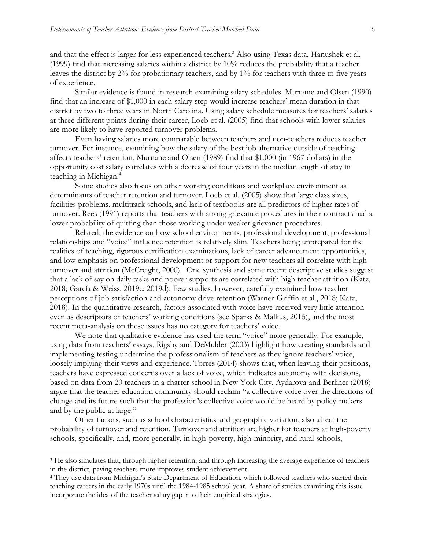and that the effect is larger for less experienced teachers.<sup>3</sup> Also using Texas data, Hanushek et al. (1999) find that increasing salaries within a district by 10% reduces the probability that a teacher leaves the district by 2% for probationary teachers, and by 1% for teachers with three to five years of experience.

Similar evidence is found in research examining salary schedules. Murnane and Olsen (1990) find that an increase of \$1,000 in each salary step would increase teachers' mean duration in that district by two to three years in North Carolina. Using salary schedule measures for teachers' salaries at three different points during their career, Loeb et al. (2005) find that schools with lower salaries are more likely to have reported turnover problems.

Even having salaries more comparable between teachers and non-teachers reduces teacher turnover. For instance, examining how the salary of the best job alternative outside of teaching affects teachers' retention, Murnane and Olsen (1989) find that \$1,000 (in 1967 dollars) in the opportunity cost salary correlates with a decrease of four years in the median length of stay in teaching in Michigan.<sup>4</sup>

Some studies also focus on other working conditions and workplace environment as determinants of teacher retention and turnover. Loeb et al. (2005) show that large class sizes, facilities problems, multitrack schools, and lack of textbooks are all predictors of higher rates of turnover. Rees (1991) reports that teachers with strong grievance procedures in their contracts had a lower probability of quitting than those working under weaker grievance procedures.

Related, the evidence on how school environments, professional development, professional relationships and "voice" influence retention is relatively slim. Teachers being unprepared for the realities of teaching, rigorous certification examinations, lack of career advancement opportunities, and low emphasis on professional development or support for new teachers all correlate with high turnover and attrition (McCreight, 2000). One synthesis and some recent descriptive studies suggest that a lack of say on daily tasks and poorer supports are correlated with high teacher attrition (Katz, 2018; García & Weiss, 2019c; 2019d). Few studies, however, carefully examined how teacher perceptions of job satisfaction and autonomy drive retention (Warner-Griffin et al., 2018; Katz, 2018). In the quantitative research, factors associated with voice have received very little attention even as descriptors of teachers' working conditions (see Sparks & Malkus, 2015), and the most recent meta-analysis on these issues has no category for teachers' voice.

We note that qualitative evidence has used the term "voice" more generally. For example, using data from teachers' essays, Rigsby and DeMulder (2003) highlight how creating standards and implementing testing undermine the professionalism of teachers as they ignore teachers' voice, loosely implying their views and experience. Torres (2014) shows that, when leaving their positions, teachers have expressed concerns over a lack of voice, which indicates autonomy with decisions, based on data from 20 teachers in a charter school in New York City. Aydarova and Berliner (2018) argue that the teacher education community should reclaim "a collective voice over the directions of change and its future such that the profession's collective voice would be heard by policy-makers and by the public at large."

Other factors, such as school characteristics and geographic variation, also affect the probability of turnover and retention. Turnover and attrition are higher for teachers at high-poverty schools, specifically, and, more generally, in high-poverty, high-minority, and rural schools,

<sup>3</sup> He also simulates that, through higher retention, and through increasing the average experience of teachers in the district, paying teachers more improves student achievement.

<sup>4</sup> They use data from Michigan's State Department of Education, which followed teachers who started their teaching careers in the early 1970s until the 1984-1985 school year. A share of studies examining this issue incorporate the idea of the teacher salary gap into their empirical strategies.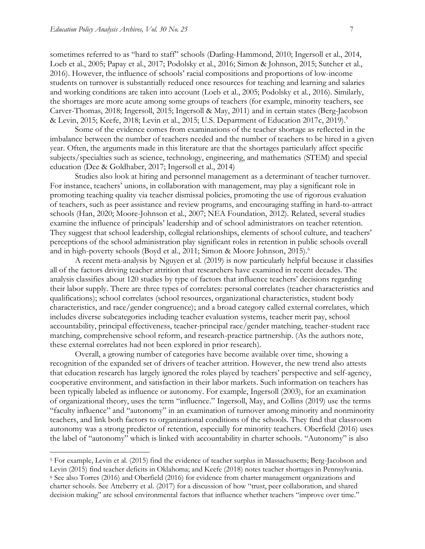$\overline{a}$ 

sometimes referred to as "hard to staff" schools (Darling-Hammond, 2010; Ingersoll et al., 2014, Loeb et al., 2005; Papay et al., 2017; Podolsky et al., 2016; Simon & Johnson, 2015; Sutcher et al., 2016). However, the influence of schools' racial compositions and proportions of low-income students on turnover is substantially reduced once resources for teaching and learning and salaries and working conditions are taken into account (Loeb et al., 2005; Podolsky et al., 2016). Similarly, the shortages are more acute among some groups of teachers (for example, minority teachers, see Carver-Thomas, 2018; Ingersoll, 2015; Ingersoll & May, 2011) and in certain states (Berg-Jacobson & Levin, 2015; Keefe, 2018; Levin et al., 2015; U.S. Department of Education 2017c, 2019).<sup>5</sup>

Some of the evidence comes from examinations of the teacher shortage as reflected in the imbalance between the number of teachers needed and the number of teachers to be hired in a given year. Often, the arguments made in this literature are that the shortages particularly affect specific subjects/specialties such as science, technology, engineering, and mathematics (STEM) and special education (Dee & Goldhaber, 2017; Ingersoll et al., 2014)

Studies also look at hiring and personnel management as a determinant of teacher turnover. For instance, teachers' unions, in collaboration with management, may play a significant role in promoting teaching quality via teacher dismissal policies, promoting the use of rigorous evaluation of teachers, such as peer assistance and review programs, and encouraging staffing in hard-to-attract schools (Han, 2020; Moore-Johnson et al., 2007; NEA Foundation, 2012). Related, several studies examine the influence of principals' leadership and of school administrators on teacher retention. They suggest that school leadership, collegial relationships, elements of school culture, and teachers' perceptions of the school administration play significant roles in retention in public schools overall and in high-poverty schools (Boyd et al., 2011; Simon & Moore Johnson, 2015).<sup>6</sup>

A recent meta-analysis by Nguyen et al. (2019) is now particularly helpful because it classifies all of the factors driving teacher attrition that researchers have examined in recent decades. The analysis classifies about 120 studies by type of factors that influence teachers' decisions regarding their labor supply. There are three types of correlates: personal correlates (teacher characteristics and qualifications); school correlates (school resources, organizational characteristics, student body characteristics, and race/gender congruence); and a broad category called external correlates, which includes diverse subcategories including teacher evaluation systems, teacher merit pay, school accountability, principal effectiveness, teacher-principal race/gender matching, teacher-student race matching, comprehensive school reform, and research-practice partnership. (As the authors note, these external correlates had not been explored in prior research).

Overall, a growing number of categories have become available over time, showing a recognition of the expanded set of drivers of teacher attrition. However, the new trend also attests that education research has largely ignored the roles played by teachers' perspective and self-agency, cooperative environment, and satisfaction in their labor markets. Such information on teachers has been typically labeled as influence or autonomy. For example, Ingersoll (2003), for an examination of organizational theory, uses the term "influence." Ingersoll, May, and Collins (2019) use the terms "faculty influence" and "autonomy" in an examination of turnover among minority and nonminority teachers, and link both factors to organizational conditions of the schools. They find that classroom autonomy was a strong predictor of retention, especially for minority teachers. Oberfield (2016) uses the label of "autonomy" which is linked with accountability in charter schools. "Autonomy" is also

<sup>5</sup> For example, Levin et al. (2015) find the evidence of teacher surplus in Massachusetts; Berg-Jacobson and Levin (2015) find teacher deficits in Oklahoma; and Keefe (2018) notes teacher shortages in Pennsylvania. <sup>6</sup> See also Torres (2016) and Oberfield (2016) for evidence from charter management organizations and charter schools. See Atteberry et al. (2017) for a discussion of how "trust, peer collaboration, and shared decision making" are school environmental factors that influence whether teachers "improve over time."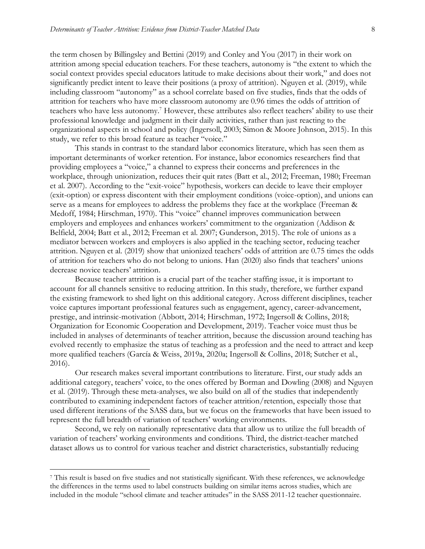the term chosen by Billingsley and Bettini (2019) and Conley and You (2017) in their work on attrition among special education teachers. For these teachers, autonomy is "the extent to which the social context provides special educators latitude to make decisions about their work," and does not significantly predict intent to leave their positions (a proxy of attrition). Nguyen et al. (2019), while including classroom "autonomy" as a school correlate based on five studies, finds that the odds of attrition for teachers who have more classroom autonomy are 0.96 times the odds of attrition of teachers who have less autonomy.<sup>7</sup> However, these attributes also reflect teachers' ability to use their professional knowledge and judgment in their daily activities, rather than just reacting to the organizational aspects in school and policy (Ingersoll, 2003; Simon & Moore Johnson, 2015). In this study, we refer to this broad feature as teacher "voice."

This stands in contrast to the standard labor economics literature, which has seen them as important determinants of worker retention. For instance, labor economics researchers find that providing employees a "voice," a channel to express their concerns and preferences in the workplace, through unionization, reduces their quit rates (Batt et al., 2012; Freeman, 1980; Freeman et al. 2007). According to the "exit-voice" hypothesis, workers can decide to leave their employer (exit-option) or express discontent with their employment conditions (voice-option), and unions can serve as a means for employees to address the problems they face at the workplace (Freeman & Medoff, 1984; Hirschman, 1970). This "voice" channel improves communication between employers and employees and enhances workers' commitment to the organization (Addison & Belfield, 2004; Batt et al., 2012; Freeman et al. 2007; Gunderson, 2015). The role of unions as a mediator between workers and employers is also applied in the teaching sector, reducing teacher attrition. Nguyen et al. (2019) show that unionized teachers' odds of attrition are 0.75 times the odds of attrition for teachers who do not belong to unions. Han (2020) also finds that teachers' unions decrease novice teachers' attrition.

Because teacher attrition is a crucial part of the teacher staffing issue, it is important to account for all channels sensitive to reducing attrition. In this study, therefore, we further expand the existing framework to shed light on this additional category. Across different disciplines, teacher voice captures important professional features such as engagement, agency, career-advancement, prestige, and intrinsic-motivation (Abbott, 2014; Hirschman, 1972; Ingersoll & Collins, 2018; Organization for Economic Cooperation and Development, 2019). Teacher voice must thus be included in analyses of determinants of teacher attrition, because the discussion around teaching has evolved recently to emphasize the status of teaching as a profession and the need to attract and keep more qualified teachers (García & Weiss, 2019a, 2020a; Ingersoll & Collins, 2018; Sutcher et al., 2016).

Our research makes several important contributions to literature. First, our study adds an additional category, teachers' voice, to the ones offered by Borman and Dowling (2008) and Nguyen et al. (2019). Through these meta-analyses, we also build on all of the studies that independently contributed to examining independent factors of teacher attrition/retention, especially those that used different iterations of the SASS data, but we focus on the frameworks that have been issued to represent the full breadth of variation of teachers' working environments.

Second, we rely on nationally representative data that allow us to utilize the full breadth of variation of teachers' working environments and conditions. Third, the district-teacher matched dataset allows us to control for various teacher and district characteristics, substantially reducing

<sup>7</sup> This result is based on five studies and not statistically significant. With these references, we acknowledge the differences in the terms used to label constructs building on similar items across studies, which are included in the module "school climate and teacher attitudes" in the SASS 2011-12 teacher questionnaire.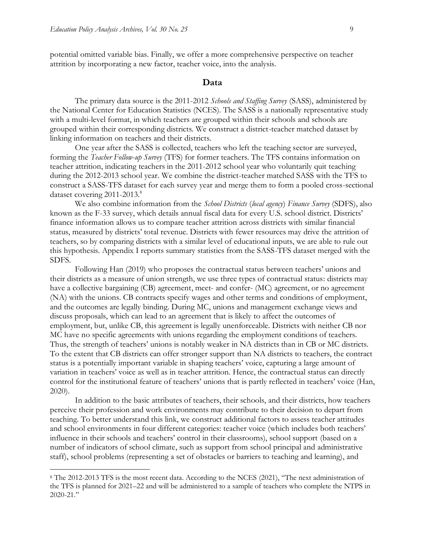$\overline{a}$ 

potential omitted variable bias. Finally, we offer a more comprehensive perspective on teacher attrition by incorporating a new factor, teacher voice, into the analysis.

#### **Data**

The primary data source is the 2011-2012 *Schools and Staffing Survey* (SASS), administered by the National Center for Education Statistics (NCES). The SASS is a nationally representative study with a multi-level format, in which teachers are grouped within their schools and schools are grouped within their corresponding districts. We construct a district-teacher matched dataset by linking information on teachers and their districts.

One year after the SASS is collected, teachers who left the teaching sector are surveyed, forming the *Teacher Follow-up Survey* (TFS) for former teachers. The TFS contains information on teacher attrition, indicating teachers in the 2011-2012 school year who voluntarily quit teaching during the 2012-2013 school year. We combine the district-teacher matched SASS with the TFS to construct a SASS-TFS dataset for each survey year and merge them to form a pooled cross-sectional dataset covering 2011-2013.<sup>8</sup>

We also combine information from the *School Districts* (*local agency*) *Finance Survey* (SDFS), also known as the F-33 survey, which details annual fiscal data for every U.S. school district. Districts' finance information allows us to compare teacher attrition across districts with similar financial status, measured by districts' total revenue. Districts with fewer resources may drive the attrition of teachers, so by comparing districts with a similar level of educational inputs, we are able to rule out this hypothesis. Appendix I reports summary statistics from the SASS-TFS dataset merged with the SDFS.

Following Han (2019) who proposes the contractual status between teachers' unions and their districts as a measure of union strength, we use three types of contractual status: districts may have a collective bargaining (CB) agreement, meet- and confer- (MC) agreement, or no agreement (NA) with the unions. CB contracts specify wages and other terms and conditions of employment, and the outcomes are legally binding. During MC, unions and management exchange views and discuss proposals, which can lead to an agreement that is likely to affect the outcomes of employment, but, unlike CB, this agreement is legally unenforceable. Districts with neither CB nor MC have no specific agreements with unions regarding the employment conditions of teachers. Thus, the strength of teachers' unions is notably weaker in NA districts than in CB or MC districts. To the extent that CB districts can offer stronger support than NA districts to teachers, the contract status is a potentially important variable in shaping teachers' voice, capturing a large amount of variation in teachers' voice as well as in teacher attrition. Hence, the contractual status can directly control for the institutional feature of teachers' unions that is partly reflected in teachers' voice (Han, 2020).

In addition to the basic attributes of teachers, their schools, and their districts, how teachers perceive their profession and work environments may contribute to their decision to depart from teaching. To better understand this link, we construct additional factors to assess teacher attitudes and school environments in four different categories: teacher voice (which includes both teachers' influence in their schools and teachers' control in their classrooms), school support (based on a number of indicators of school climate, such as support from school principal and administrative staff), school problems (representing a set of obstacles or barriers to teaching and learning), and

<sup>8</sup> The 2012-2013 TFS is the most recent data. According to the NCES (2021), "The next administration of the TFS is planned for 2021–22 and will be administered to a sample of teachers who complete the NTPS in 2020-21."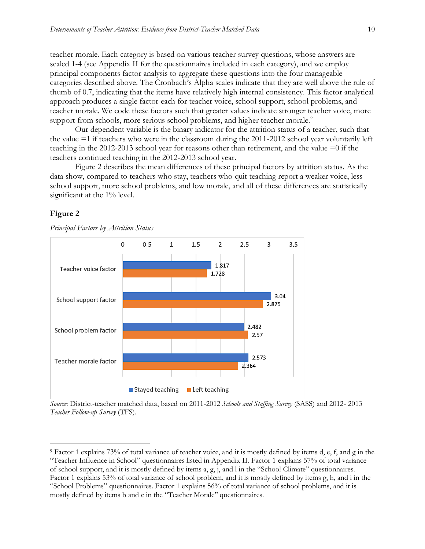teacher morale. Each category is based on various teacher survey questions, whose answers are scaled 1-4 (see Appendix II for the questionnaires included in each category), and we employ principal components factor analysis to aggregate these questions into the four manageable categories described above. The Cronbach's Alpha scales indicate that they are well above the rule of thumb of 0.7, indicating that the items have relatively high internal consistency. This factor analytical approach produces a single factor each for teacher voice, school support, school problems, and teacher morale. We code these factors such that greater values indicate stronger teacher voice, more support from schools, more serious school problems, and higher teacher morale.<sup>9</sup>

Our dependent variable is the binary indicator for the attrition status of a teacher, such that the value =1 if teachers who were in the classroom during the 2011-2012 school year voluntarily left teaching in the 2012-2013 school year for reasons other than retirement, and the value =0 if the teachers continued teaching in the 2012-2013 school year.

Figure 2 describes the mean differences of these principal factors by attrition status. As the data show, compared to teachers who stay, teachers who quit teaching report a weaker voice, less school support, more school problems, and low morale, and all of these differences are statistically significant at the 1% level.

#### **Figure 2**

 $\overline{a}$ 

*Principal Factors by Attrition Status*



*Source*: District-teacher matched data, based on 2011-2012 *Schools and Staffing Survey* (SASS) and 2012- 2013 *Teacher Follow-up Survey* (TFS).

<sup>9</sup> Factor 1 explains 73% of total variance of teacher voice, and it is mostly defined by items d, e, f, and g in the "Teacher Influence in School" questionnaires listed in Appendix II. Factor 1 explains 57% of total variance of school support, and it is mostly defined by items a, g, j, and l in the "School Climate" questionnaires. Factor 1 explains 53% of total variance of school problem, and it is mostly defined by items g, h, and i in the "School Problems" questionnaires. Factor 1 explains 56% of total variance of school problems, and it is mostly defined by items b and c in the "Teacher Morale" questionnaires.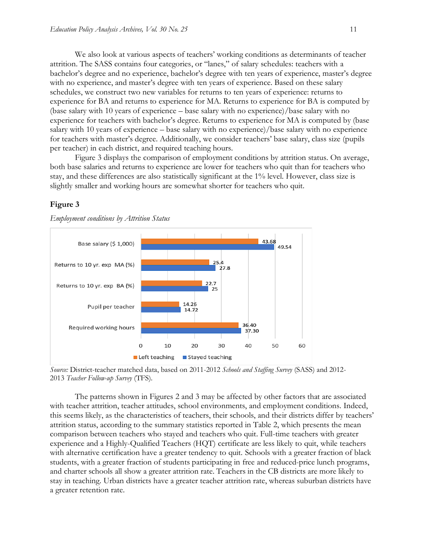We also look at various aspects of teachers' working conditions as determinants of teacher attrition. The SASS contains four categories, or "lanes," of salary schedules: teachers with a bachelor's degree and no experience, bachelor's degree with ten years of experience, master's degree with no experience, and master's degree with ten years of experience. Based on these salary schedules, we construct two new variables for returns to ten years of experience: returns to experience for BA and returns to experience for MA. Returns to experience for BA is computed by (base salary with 10 years of experience – base salary with no experience)/base salary with no experience for teachers with bachelor's degree. Returns to experience for MA is computed by (base salary with 10 years of experience – base salary with no experience)/base salary with no experience for teachers with master's degree. Additionally, we consider teachers' base salary, class size (pupils per teacher) in each district, and required teaching hours.

Figure 3 displays the comparison of employment conditions by attrition status. On average, both base salaries and returns to experience are lower for teachers who quit than for teachers who stay, and these differences are also statistically significant at the 1% level. However, class size is slightly smaller and working hours are somewhat shorter for teachers who quit.

#### **Figure 3**



*Employment conditions by Attrition Status*

*Source:* District-teacher matched data, based on 2011-2012 *Schools and Staffing Survey* (SASS) and 2012- 2013 *Teacher Follow-up Survey* (TFS).

The patterns shown in Figures 2 and 3 may be affected by other factors that are associated with teacher attrition, teacher attitudes, school environments, and employment conditions. Indeed, this seems likely, as the characteristics of teachers, their schools, and their districts differ by teachers' attrition status, according to the summary statistics reported in Table 2, which presents the mean comparison between teachers who stayed and teachers who quit. Full-time teachers with greater experience and a Highly-Qualified Teachers (HQT) certificate are less likely to quit, while teachers with alternative certification have a greater tendency to quit. Schools with a greater fraction of black students, with a greater fraction of students participating in free and reduced-price lunch programs, and charter schools all show a greater attrition rate. Teachers in the CB districts are more likely to stay in teaching. Urban districts have a greater teacher attrition rate, whereas suburban districts have a greater retention rate.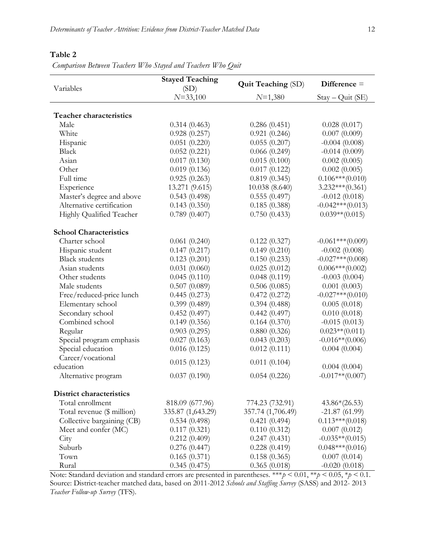#### **Table 2**

*Comparison Between Teachers Who Stayed and Teachers Who Quit*

|                                 | <b>Stayed Teaching</b> |                           | Difference $=$     |  |
|---------------------------------|------------------------|---------------------------|--------------------|--|
| Variables                       | (SD)                   | <b>Quit Teaching (SD)</b> |                    |  |
|                                 | $N = 33,100$           | $N=1,380$                 | Stay - Quit (SE)   |  |
|                                 |                        |                           |                    |  |
| <b>Teacher characteristics</b>  |                        |                           |                    |  |
| Male                            | 0.314(0.463)           | 0.286(0.451)              | 0.028(0.017)       |  |
| White                           | 0.928(0.257)           | 0.921(0.246)              | 0.007(0.009)       |  |
| Hispanic                        | 0.051(0.220)           | 0.055(0.207)              | $-0.004(0.008)$    |  |
| Black                           | 0.052(0.221)           | 0.066(0.249)              | $-0.014(0.009)$    |  |
| Asian                           | 0.017(0.130)           | 0.015(0.100)              | 0.002(0.005)       |  |
| Other                           | 0.019(0.136)           | 0.017(0.122)              | 0.002(0.005)       |  |
| Full time                       | 0.925(0.263)           | 0.819(0.345)              | $0.106***(0.010)$  |  |
| Experience                      | 13.271 (9.615)         | 10.038 (8.640)            | $3.232***(0.361)$  |  |
| Master's degree and above       | 0.543(0.498)           | 0.555(0.497)              | $-0.012(0.018)$    |  |
| Alternative certification       | 0.143(0.350)           | 0.185(0.388)              | $-0.042***(0.013)$ |  |
| Highly Qualified Teacher        | 0.789(0.407)           | 0.750(0.433)              | $0.039**$ (0.015)  |  |
| <b>School Characteristics</b>   |                        |                           |                    |  |
| Charter school                  | 0.061(0.240)           | 0.122(0.327)              | $-0.061***(0.009)$ |  |
| Hispanic student                | 0.147(0.217)           | 0.149(0.210)              | $-0.002(0.008)$    |  |
| <b>Black students</b>           | 0.123(0.201)           | 0.150(0.233)              | $-0.027***(0.008)$ |  |
| Asian students                  | 0.031(0.060)           | 0.025(0.012)              | $0.006***(0.002)$  |  |
| Other students                  | 0.045(0.110)           | 0.048(0.119)              | $-0.003(0.004)$    |  |
| Male students                   | 0.507(0.089)           | 0.506(0.085)              | 0.001(0.003)       |  |
| Free/reduced-price lunch        | 0.445(0.273)           | 0.472(0.272)              | $-0.027***(0.010)$ |  |
| Elementary school               | 0.399(0.489)           | 0.394(0.488)              | 0.005(0.018)       |  |
| Secondary school                | 0.452(0.497)           | 0.442(0.497)              | 0.010(0.018)       |  |
| Combined school                 | 0.149(0.356)           | 0.164(0.370)              | $-0.015(0.013)$    |  |
| Regular                         | 0.903(0.295)           | 0.880(0.326)              | $0.023**$ (0.011)  |  |
| Special program emphasis        | 0.027(0.163)           | 0.043(0.203)              | $-0.016**$ (0.006) |  |
| Special education               | 0.016(0.125)           | 0.012(0.111)              | 0.004(0.004)       |  |
| Career/vocational               | 0.015(0.123)           | 0.011(0.104)              |                    |  |
| education                       |                        |                           | 0.004(0.004)       |  |
| Alternative program             | 0.037(0.190)           | 0.054(0.226)              | $-0.017**$ (0.007) |  |
| <b>District characteristics</b> |                        |                           |                    |  |
| Total enrollment                | 818.09 (677.96)        | 774.23 (732.91)           | $43.86*(26.53)$    |  |
| Total revenue (\$ million)      | 335.87 (1,643.29)      | 357.74 (1,706.49)         | $-21.87(61.99)$    |  |
| Collective bargaining (CB)      | 0.534(0.498)           | 0.421(0.494)              | $0.113***(0.018)$  |  |
| Meet and confer (MC)            | 0.117(0.321)           | 0.110(0.312)              | 0.007(0.012)       |  |
| City                            | 0.212(0.409)           | 0.247(0.431)              | $-0.035**$ (0.015) |  |
| Suburb                          | 0.276(0.447)           | 0.228(0.419)              | $0.048***(0.016)$  |  |
| Town                            | 0.165(0.371)           | 0.158(0.365)              | 0.007(0.014)       |  |
| Rural                           | 0.345(0.475)           | 0.365(0.018)              | $-0.020(0.018)$    |  |

Note: Standard deviation and standard errors are presented in parentheses. \*\*\**p* < 0.01, \*\**p* < 0.05, \**p* < 0.1. Source: District-teacher matched data, based on 2011-2012 *Schools and Staffing Survey* (SASS) and 2012- 2013 *Teacher Follow-up Survey* (TFS).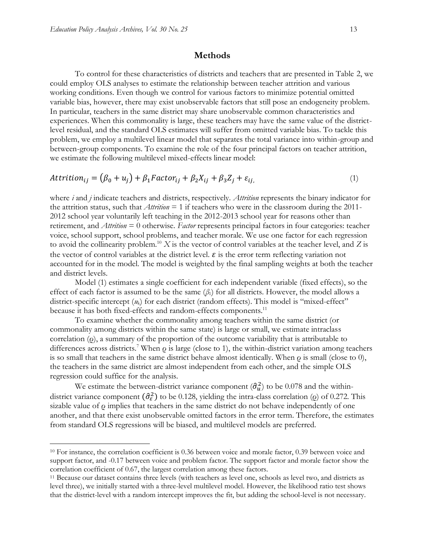$\overline{a}$ 

#### **Methods**

To control for these characteristics of districts and teachers that are presented in Table 2, we could employ OLS analyses to estimate the relationship between teacher attrition and various working conditions. Even though we control for various factors to minimize potential omitted variable bias, however, there may exist unobservable factors that still pose an endogeneity problem. In particular, teachers in the same district may share unobservable common characteristics and experiences. When this commonality is large, these teachers may have the same value of the districtlevel residual, and the standard OLS estimates will suffer from omitted variable bias. To tackle this problem, we employ a multilevel linear model that separates the total variance into within-group and between-group components. To examine the role of the four principal factors on teacher attrition, we estimate the following multilevel mixed-effects linear model:

$$
Attention_{ij} = (\beta_0 + u_j) + \beta_1 Factor_{ij} + \beta_2 X_{ij} + \beta_3 Z_j + \varepsilon_{ij},
$$
\n(1)

where *i* and *j* indicate teachers and districts, respectively. *Attrition* represents the binary indicator for the attrition status, such that *Attrition* = 1 if teachers who were in the classroom during the 2011- 2012 school year voluntarily left teaching in the 2012-2013 school year for reasons other than retirement, and *Attrition* = 0 otherwise. *Factor* represents principal factors in four categories: teacher voice, school support, school problems, and teacher morale. We use one factor for each regression to avoid the collinearity problem.<sup>10</sup> *X* is the vector of control variables at the teacher level, and *Z* is the vector of control variables at the district level.  $\varepsilon$  is the error term reflecting variation not accounted for in the model. The model is weighted by the final sampling weights at both the teacher and district levels.

Model (1) estimates a single coefficient for each independent variable (fixed effects), so the effect of each factor is assumed to be the same  $(\beta_1)$  for all districts. However, the model allows a district-specific intercept (*u*k) for each district (random effects). This model is "mixed-effect" because it has both fixed-effects and random-effects components.<sup>11</sup>

To examine whether the commonality among teachers within the same district (or commonality among districts within the same state) is large or small, we estimate intraclass correlation (ρ), a summary of the proportion of the outcome variability that is attributable to differences across districts.<sup>7</sup> When  $\rho$  is large (close to 1), the within-district variation among teachers is so small that teachers in the same district behave almost identically. When  $\rho$  is small (close to 0), the teachers in the same district are almost independent from each other, and the simple OLS regression could suffice for the analysis.

We estimate the between-district variance component  $(\hat{\sigma}_u^2)$  to be 0.078 and the withindistrict variance component  $(\hat{\sigma}_{\epsilon}^2)$  to be 0.128, yielding the intra-class correlation (*o*) of 0.272. This sizable value of ρ implies that teachers in the same district do not behave independently of one another, and that there exist unobservable omitted factors in the error term. Therefore, the estimates from standard OLS regressions will be biased, and multilevel models are preferred.

<sup>&</sup>lt;sup>10</sup> For instance, the correlation coefficient is 0.36 between voice and morale factor, 0.39 between voice and support factor, and -0.17 between voice and problem factor. The support factor and morale factor show the correlation coefficient of 0.67, the largest correlation among these factors.

<sup>11</sup> Because our dataset contains three levels (with teachers as level one, schools as level two, and districts as level three), we initially started with a three-level multilevel model. However, the likelihood ratio test shows that the district-level with a random intercept improves the fit, but adding the school-level is not necessary.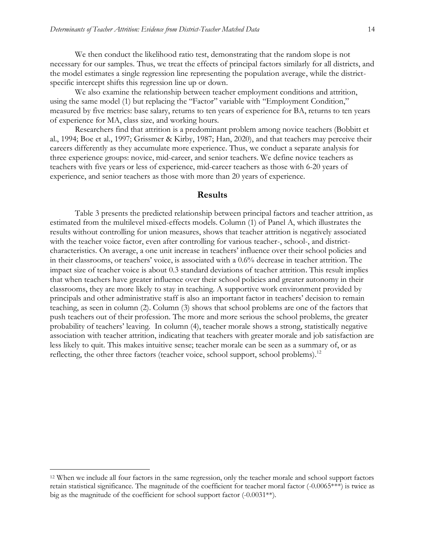We then conduct the likelihood ratio test, demonstrating that the random slope is not necessary for our samples. Thus, we treat the effects of principal factors similarly for all districts, and the model estimates a single regression line representing the population average, while the districtspecific intercept shifts this regression line up or down.

We also examine the relationship between teacher employment conditions and attrition, using the same model (1) but replacing the "Factor" variable with "Employment Condition," measured by five metrics: base salary, returns to ten years of experience for BA, returns to ten years of experience for MA, class size, and working hours.

Researchers find that attrition is a predominant problem among novice teachers (Bobbitt et al., 1994; Boe et al., 1997; Grissmer & Kirby, 1987; Han, 2020), and that teachers may perceive their careers differently as they accumulate more experience. Thus, we conduct a separate analysis for three experience groups: novice, mid-career, and senior teachers. We define novice teachers as teachers with five years or less of experience, mid-career teachers as those with 6-20 years of experience, and senior teachers as those with more than 20 years of experience.

#### **Results**

Table 3 presents the predicted relationship between principal factors and teacher attrition, as estimated from the multilevel mixed-effects models. Column (1) of Panel A, which illustrates the results without controlling for union measures, shows that teacher attrition is negatively associated with the teacher voice factor, even after controlling for various teacher-, school-, and districtcharacteristics. On average, a one unit increase in teachers' influence over their school policies and in their classrooms, or teachers' voice, is associated with a 0.6% decrease in teacher attrition. The impact size of teacher voice is about 0.3 standard deviations of teacher attrition. This result implies that when teachers have greater influence over their school policies and greater autonomy in their classrooms, they are more likely to stay in teaching. A supportive work environment provided by principals and other administrative staff is also an important factor in teachers' decision to remain teaching, as seen in column (2). Column (3) shows that school problems are one of the factors that push teachers out of their profession. The more and more serious the school problems, the greater probability of teachers' leaving. In column (4), teacher morale shows a strong, statistically negative association with teacher attrition, indicating that teachers with greater morale and job satisfaction are less likely to quit. This makes intuitive sense; teacher morale can be seen as a summary of, or as reflecting, the other three factors (teacher voice, school support, school problems).<sup>12</sup>

<sup>12</sup> When we include all four factors in the same regression, only the teacher morale and school support factors retain statistical significance. The magnitude of the coefficient for teacher moral factor  $(-0.0065***)$  is twice as big as the magnitude of the coefficient for school support factor (-0.0031\*\*).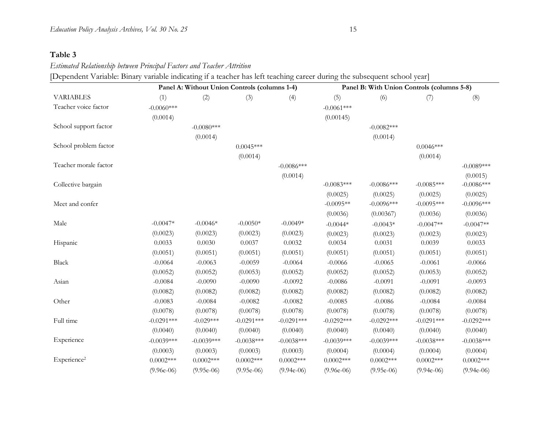### **Table 3**

*Estimated Relationship between Principal Factors and Teacher Attrition*

[Dependent Variable: Binary variable indicating if a teacher has left teaching career during the subsequent school year]

|                         |              |              | Panel A: Without Union Controls (columns 1-4) |              | Panel B: With Union Controls (columns 5-8) |              |              |              |
|-------------------------|--------------|--------------|-----------------------------------------------|--------------|--------------------------------------------|--------------|--------------|--------------|
| <b>VARIABLES</b>        | (1)          | (2)          | (3)                                           | (4)          | (5)                                        | (6)          | (7)          | (8)          |
| Teacher voice factor    | $-0.0060***$ |              |                                               |              | $-0.0061***$                               |              |              |              |
|                         | (0.0014)     |              |                                               |              | (0.00145)                                  |              |              |              |
| School support factor   |              | $-0.0080***$ |                                               |              |                                            | $-0.0082***$ |              |              |
|                         |              | (0.0014)     |                                               |              |                                            | (0.0014)     |              |              |
| School problem factor   |              |              | $0.0045***$                                   |              |                                            |              | $0.0046***$  |              |
|                         |              |              | (0.0014)                                      |              |                                            |              | (0.0014)     |              |
| Teacher morale factor   |              |              |                                               | $-0.0086***$ |                                            |              |              | $-0.0089***$ |
|                         |              |              |                                               | (0.0014)     |                                            |              |              | (0.0015)     |
| Collective bargain      |              |              |                                               |              | $-0.0083***$                               | $-0.0086***$ | $-0.0085***$ | $-0.0086***$ |
|                         |              |              |                                               |              | (0.0025)                                   | (0.0025)     | (0.0025)     | (0.0025)     |
| Meet and confer         |              |              |                                               |              | $-0.0095**$                                | $-0.0096***$ | $-0.0095***$ | $-0.0096***$ |
|                         |              |              |                                               |              | (0.0036)                                   | (0.00367)    | (0.0036)     | (0.0036)     |
| Male                    | $-0.0047*$   | $-0.0046*$   | $-0.0050*$                                    | $-0.0049*$   | $-0.0044*$                                 | $-0.0043*$   | $-0.0047**$  | $-0.0047**$  |
|                         | (0.0023)     | (0.0023)     | (0.0023)                                      | (0.0023)     | (0.0023)                                   | (0.0023)     | (0.0023)     | (0.0023)     |
| Hispanic                | 0.0033       | 0.0030       | 0.0037                                        | 0.0032       | 0.0034                                     | 0.0031       | 0.0039       | 0.0033       |
|                         | (0.0051)     | (0.0051)     | (0.0051)                                      | (0.0051)     | (0.0051)                                   | (0.0051)     | (0.0051)     | (0.0051)     |
| Black                   | $-0.0064$    | $-0.0063$    | $-0.0059$                                     | $-0.0064$    | $-0.0066$                                  | $-0.0065$    | $-0.0061$    | $-0.0066$    |
|                         | (0.0052)     | (0.0052)     | (0.0053)                                      | (0.0052)     | (0.0052)                                   | (0.0052)     | (0.0053)     | (0.0052)     |
| Asian                   | $-0.0084$    | $-0.0090$    | $-0.0090$                                     | $-0.0092$    | $-0.0086$                                  | $-0.0091$    | $-0.0091$    | $-0.0093$    |
|                         | (0.0082)     | (0.0082)     | (0.0082)                                      | (0.0082)     | (0.0082)                                   | (0.0082)     | (0.0082)     | (0.0082)     |
| Other                   | $-0.0083$    | $-0.0084$    | $-0.0082$                                     | $-0.0082$    | $-0.0085$                                  | $-0.0086$    | $-0.0084$    | $-0.0084$    |
|                         | (0.0078)     | (0.0078)     | (0.0078)                                      | (0.0078)     | (0.0078)                                   | (0.0078)     | (0.0078)     | (0.0078)     |
| Full time               | $-0.0291***$ | $-0.029***$  | $-0.0291***$                                  | $-0.0291***$ | $-0.0292***$                               | $-0.0292***$ | $-0.0291***$ | $-0.0292***$ |
|                         | (0.0040)     | (0.0040)     | (0.0040)                                      | (0.0040)     | (0.0040)                                   | (0.0040)     | (0.0040)     | (0.0040)     |
| Experience              | $-0.0039***$ | $-0.0039***$ | $-0.0038***$                                  | $-0.0038***$ | $-0.0039***$                               | $-0.0039***$ | $-0.0038***$ | $-0.0038***$ |
|                         | (0.0003)     | (0.0003)     | (0.0003)                                      | (0.0003)     | (0.0004)                                   | (0.0004)     | (0.0004)     | (0.0004)     |
| Experience <sup>2</sup> | $0.0002***$  | $0.0002***$  | $0.0002***$                                   | $0.0002***$  | $0.0002***$                                | $0.0002***$  | $0.0002***$  | $0.0002***$  |
|                         | $(9.96e-06)$ | $(9.95e-06)$ | $(9.95e-06)$                                  | $(9.94e-06)$ | $(9.96e-06)$                               | $(9.95e-06)$ | $(9.94e-06)$ | $(9.94e-06)$ |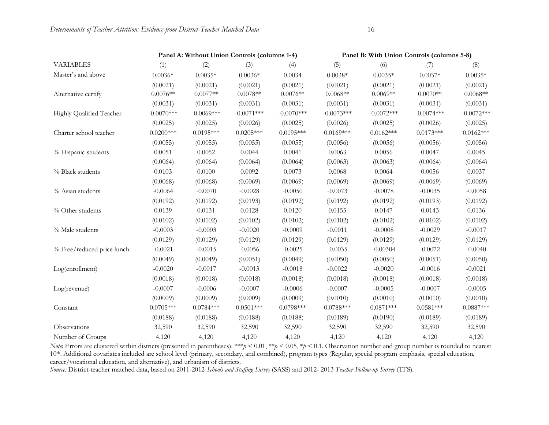|                            |              | Panel A: Without Union Controls (columns 1-4) |              |              | Panel B: With Union Controls (columns 5-8) |              |              |              |
|----------------------------|--------------|-----------------------------------------------|--------------|--------------|--------------------------------------------|--------------|--------------|--------------|
| <b>VARIABLES</b>           | (1)          | (2)                                           | (3)          | (4)          | (5)                                        | (6)          | (7)          | (8)          |
| Master's and above         | $0.0036*$    | $0.0035*$                                     | $0.0036*$    | 0.0034       | $0.0038*$                                  | $0.0035*$    | $0.0037*$    | $0.0035*$    |
|                            | (0.0021)     | (0.0021)                                      | (0.0021)     | (0.0021)     | (0.0021)                                   | (0.0021)     | (0.0021)     | (0.0021)     |
| Alternative certify        | $0.0076**$   | $0.0077**$                                    | $0.0078**$   | $0.0076**$   | $0.0068**$                                 | $0.0069**$   | $0.0070**$   | $0.0068**$   |
|                            | (0.0031)     | (0.0031)                                      | (0.0031)     | (0.0031)     | (0.0031)                                   | (0.0031)     | (0.0031)     | (0.0031)     |
| Highly Qualified Teacher   | $-0.0070***$ | $-0.0069***$                                  | $-0.0071***$ | $-0.0070***$ | $-0.0073***$                               | $-0.0072***$ | $-0.0074***$ | $-0.0072***$ |
|                            | (0.0025)     | (0.0025)                                      | (0.0026)     | (0.0025)     | (0.0026)                                   | (0.0025)     | (0.0026)     | (0.0025)     |
| Charter school teacher     | $0.0200***$  | $0.0195***$                                   | $0.0205***$  | $0.0195***$  | $0.0169***$                                | $0.0162***$  | $0.0173***$  | $0.0162***$  |
|                            | (0.0055)     | (0.0055)                                      | (0.0055)     | (0.0055)     | (0.0056)                                   | (0.0056)     | (0.0056)     | (0.0056)     |
| % Hispanic students        | 0.0051       | 0.0052                                        | 0.0044       | 0.0041       | 0.0063                                     | 0.0056       | 0.0047       | 0.0045       |
|                            | (0.0064)     | (0.0064)                                      | (0.0064)     | (0.0064)     | (0.0063)                                   | (0.0063)     | (0.0064)     | (0.0064)     |
| % Black students           | 0.0103       | 0.0100                                        | 0.0092       | 0.0073       | 0.0068                                     | 0.0064       | 0.0056       | 0.0037       |
|                            | (0.0068)     | (0.0068)                                      | (0.0069)     | (0.0069)     | (0.0069)                                   | (0.0069)     | (0.0069)     | (0.0069)     |
| % Asian students           | $-0.0064$    | $-0.0070$                                     | $-0.0028$    | $-0.0050$    | $-0.0073$                                  | $-0.0078$    | $-0.0035$    | $-0.0058$    |
|                            | (0.0192)     | (0.0192)                                      | (0.0193)     | (0.0192)     | (0.0192)                                   | (0.0192)     | (0.0193)     | (0.0192)     |
| % Other students           | 0.0139       | 0.0131                                        | 0.0128       | 0.0120       | 0.0155                                     | 0.0147       | 0.0143       | 0.0136       |
|                            | (0.0102)     | (0.0102)                                      | (0.0102)     | (0.0102)     | (0.0102)                                   | (0.0102)     | (0.0102)     | (0.0102)     |
| % Male students            | $-0.0003$    | $-0.0003$                                     | $-0.0020$    | $-0.0009$    | $-0.0011$                                  | $-0.0008$    | $-0.0029$    | $-0.0017$    |
|                            | (0.0129)     | (0.0129)                                      | (0.0129)     | (0.0129)     | (0.0129)                                   | (0.0129)     | (0.0129)     | (0.0129)     |
| % Free/reduced price lunch | $-0.0021$    | $-0.0015$                                     | $-0.0056$    | $-0.0025$    | $-0.0035$                                  | $-0.00304$   | $-0.0072$    | $-0.0040$    |
|                            | (0.0049)     | (0.0049)                                      | (0.0051)     | (0.0049)     | (0.0050)                                   | (0.0050)     | (0.0051)     | (0.0050)     |
| Log(enrollment)            | $-0.0020$    | $-0.0017$                                     | $-0.0013$    | $-0.0018$    | $-0.0022$                                  | $-0.0020$    | $-0.0016$    | $-0.0021$    |
|                            | (0.0018)     | (0.0018)                                      | (0.0018)     | (0.0018)     | (0.0018)                                   | (0.0018)     | (0.0018)     | (0.0018)     |
| Log(revenue)               | $-0.0007$    | $-0.0006$                                     | $-0.0007$    | $-0.0006$    | $-0.0007$                                  | $-0.0005$    | $-0.0007$    | $-0.0005$    |
|                            | (0.0009)     | (0.0009)                                      | (0.0009)     | (0.0009)     | (0.0010)                                   | (0.0010)     | (0.0010)     | (0.0010)     |
| Constant                   | $0.0705***$  | $0.0784***$                                   | $0.0501***$  | $0.0798***$  | $0.0788***$                                | $0.0871***$  | $0.0581***$  | $0.0887***$  |
|                            | (0.0188)     | (0.0188)                                      | (0.0188)     | (0.0188)     | (0.0189)                                   | (0.0190)     | (0.0189)     | (0.0189)     |
| Observations               | 32,590       | 32,590                                        | 32,590       | 32,590       | 32,590                                     | 32,590       | 32,590       | 32,590       |
| Number of Groups           | 4,120        | 4,120                                         | 4,120        | 4,120        | 4,120                                      | 4,120        | 4,120        | 4,120        |

*Note*: Errors are clustered within districts (presented in parentheses). \*\*\**p* < 0.01, \*\**p* < 0.05, \**p* < 0.1. Observation number and group number is rounded to nearest 10<sup>th</sup>. Additional covariates included are school level (primary, secondary, and combined), program types (Regular, special program emphasis, special education, career/vocational education, and alternative), and urbanism of districts.

*Source:* District-teacher matched data, based on 2011-2012 *Schools and Staffing Survey* (SASS) and 2012- 2013 *Teacher Follow-up Survey* (TFS).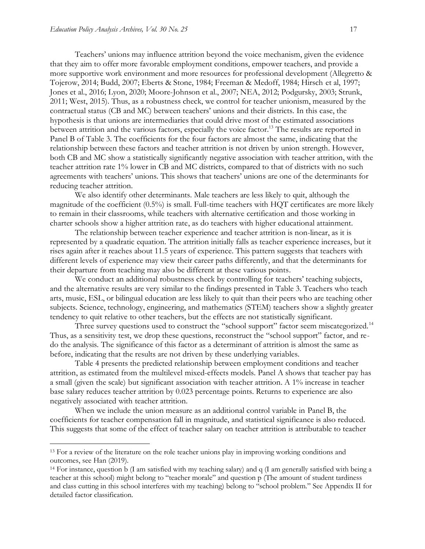Teachers' unions may influence attrition beyond the voice mechanism, given the evidence that they aim to offer more favorable employment conditions, empower teachers, and provide a more supportive work environment and more resources for professional development (Allegretto & Tojerow, 2014; Budd, 2007; Eberts & Stone, 1984; Freeman & Medoff, 1984; Hirsch et al, 1997; Jones et al., 2016; Lyon, 2020; Moore-Johnson et al., 2007; NEA, 2012; Podgursky, 2003; Strunk, 2011; West, 2015). Thus, as a robustness check, we control for teacher unionism, measured by the contractual status (CB and MC) between teachers' unions and their districts. In this case, the hypothesis is that unions are intermediaries that could drive most of the estimated associations between attrition and the various factors, especially the voice factor.<sup>13</sup> The results are reported in Panel B of Table 3. The coefficients for the four factors are almost the same, indicating that the relationship between these factors and teacher attrition is not driven by union strength. However, both CB and MC show a statistically significantly negative association with teacher attrition, with the teacher attrition rate 1% lower in CB and MC districts, compared to that of districts with no such agreements with teachers' unions. This shows that teachers' unions are one of the determinants for reducing teacher attrition.

We also identify other determinants. Male teachers are less likely to quit, although the magnitude of the coefficient (0.5%) is small. Full-time teachers with HQT certificates are more likely to remain in their classrooms, while teachers with alternative certification and those working in charter schools show a higher attrition rate, as do teachers with higher educational attainment.

The relationship between teacher experience and teacher attrition is non-linear, as it is represented by a quadratic equation. The attrition initially falls as teacher experience increases, but it rises again after it reaches about 11.5 years of experience. This pattern suggests that teachers with different levels of experience may view their career paths differently, and that the determinants for their departure from teaching may also be different at these various points.

We conduct an additional robustness check by controlling for teachers' teaching subjects, and the alternative results are very similar to the findings presented in Table 3. Teachers who teach arts, music, ESL, or bilingual education are less likely to quit than their peers who are teaching other subjects. Science, technology, engineering, and mathematics (STEM) teachers show a slightly greater tendency to quit relative to other teachers, but the effects are not statistically significant.

Three survey questions used to construct the "school support" factor seem miscategorized.<sup>14</sup> Thus, as a sensitivity test, we drop these questions, reconstruct the "school support" factor, and redo the analysis. The significance of this factor as a determinant of attrition is almost the same as before, indicating that the results are not driven by these underlying variables.

Table 4 presents the predicted relationship between employment conditions and teacher attrition, as estimated from the multilevel mixed-effects models. Panel A shows that teacher pay has a small (given the scale) but significant association with teacher attrition. A 1% increase in teacher base salary reduces teacher attrition by 0.023 percentage points. Returns to experience are also negatively associated with teacher attrition.

When we include the union measure as an additional control variable in Panel B, the coefficients for teacher compensation fall in magnitude, and statistical significance is also reduced. This suggests that some of the effect of teacher salary on teacher attrition is attributable to teacher

<sup>&</sup>lt;sup>13</sup> For a review of the literature on the role teacher unions play in improving working conditions and outcomes, see Han (2019).

<sup>14</sup> For instance, question b (I am satisfied with my teaching salary) and q (I am generally satisfied with being a teacher at this school) might belong to "teacher morale" and question p (The amount of student tardiness and class cutting in this school interferes with my teaching) belong to "school problem." See Appendix II for detailed factor classification.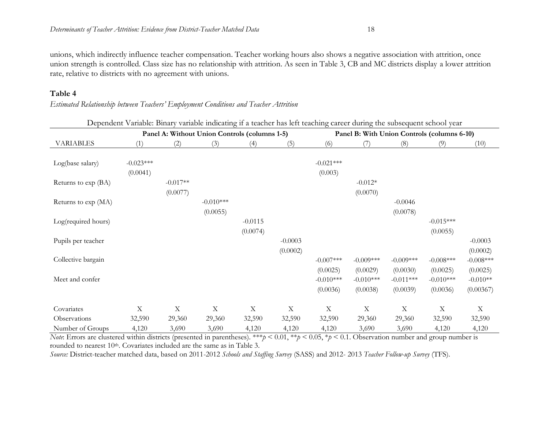unions, which indirectly influence teacher compensation. Teacher working hours also shows a negative association with attrition, once union strength is controlled. Class size has no relationship with attrition. As seen in Table 3, CB and MC districts display a lower attrition rate, relative to districts with no agreement with unions.

#### **Table 4**

*Estimated Relationship between Teachers' Employment Conditions and Teacher Attrition*

|                     | Panel A: Without Union Controls (columns 1-5) |             |             |             |             |             | Dependent vanable. Dinary vanable mulcating it a teacher has left teaching career during the subsequent school year<br>Panel B: With Union Controls (columns 6-10) |                           |              |              |  |
|---------------------|-----------------------------------------------|-------------|-------------|-------------|-------------|-------------|--------------------------------------------------------------------------------------------------------------------------------------------------------------------|---------------------------|--------------|--------------|--|
| <b>VARIABLES</b>    | (1)                                           | (2)         | (3)         | (4)         | (5)         | (6)         |                                                                                                                                                                    | (8)                       | (9)          | (10)         |  |
| Log(base salary)    | $-0.023***$                                   |             |             |             |             | $-0.021***$ |                                                                                                                                                                    |                           |              |              |  |
|                     | (0.0041)                                      |             |             |             |             | (0.003)     |                                                                                                                                                                    |                           |              |              |  |
| Returns to exp (BA) |                                               | $-0.017**$  |             |             |             |             | $-0.012*$                                                                                                                                                          |                           |              |              |  |
|                     |                                               | (0.0077)    |             |             |             |             | (0.0070)                                                                                                                                                           |                           |              |              |  |
| Returns to exp (MA) |                                               |             | $-0.010***$ |             |             |             |                                                                                                                                                                    | $-0.0046$                 |              |              |  |
|                     |                                               |             | (0.0055)    |             |             |             |                                                                                                                                                                    | (0.0078)                  |              |              |  |
| Log(required hours) |                                               |             |             | $-0.0115$   |             |             |                                                                                                                                                                    |                           | $-0.015***$  |              |  |
|                     |                                               |             |             | (0.0074)    |             |             |                                                                                                                                                                    |                           | (0.0055)     |              |  |
| Pupils per teacher  |                                               |             |             |             | $-0.0003$   |             |                                                                                                                                                                    |                           |              | $-0.0003$    |  |
|                     |                                               |             |             |             | (0.0002)    |             |                                                                                                                                                                    |                           |              | (0.0002)     |  |
| Collective bargain  |                                               |             |             |             |             | $-0.007***$ | $-0.009***$                                                                                                                                                        | $-0.009***$               | $-0.008$ *** | $-0.008$ *** |  |
|                     |                                               |             |             |             |             | (0.0025)    | (0.0029)                                                                                                                                                           | (0.0030)                  | (0.0025)     | (0.0025)     |  |
| Meet and confer     |                                               |             |             |             |             | $-0.010***$ | $-0.010***$                                                                                                                                                        | $-0.011***$               | $-0.010***$  | $-0.010**$   |  |
|                     |                                               |             |             |             |             | (0.0036)    | (0.0038)                                                                                                                                                           | (0.0039)                  | (0.0036)     | (0.00367)    |  |
| Covariates          | X                                             | $\mathbf X$ | $\mathbf X$ | $\mathbf X$ | $\mathbf X$ | $\mathbf X$ | $\mathbf X$                                                                                                                                                        | $\boldsymbol{\mathrm{X}}$ | X            | $\mathbf X$  |  |
| Observations        | 32,590                                        | 29,360      | 29,360      | 32,590      | 32,590      | 32,590      | 29,360                                                                                                                                                             | 29,360                    | 32,590       | 32,590       |  |
| Number of Groups    | 4,120                                         | 3,690       | 3,690       | 4,120       | 4,120       | 4,120       | 3,690                                                                                                                                                              | 3,690                     | 4,120        | 4,120        |  |

Dependent Variable: Binary variable indicating if a teacher has left teaching career during the subsequent school year

*Note*: Errors are clustered within districts (presented in parentheses). \*\*\**p* < 0.01, \**p* < 0.05, \**p* < 0.1. Observation number and group number is rounded to nearest 10<sup>th</sup>. Covariates included are the same as in Table 3.

*Source:* District-teacher matched data, based on 2011-2012 *Schools and Staffing Survey* (SASS) and 2012- 2013 *Teacher Follow-up Survey* (TFS).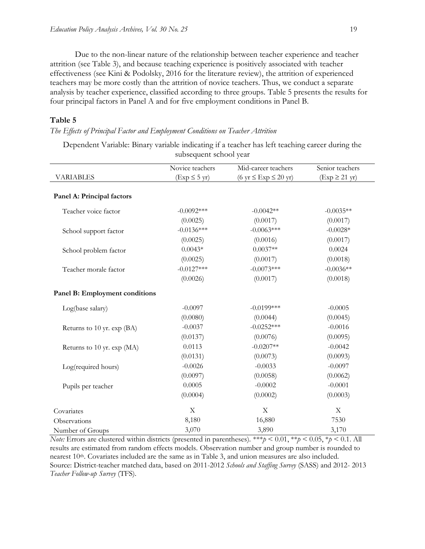Due to the non-linear nature of the relationship between teacher experience and teacher attrition (see Table 3), and because teaching experience is positively associated with teacher effectiveness (see Kini & Podolsky, 2016 for the literature review), the attrition of experienced teachers may be more costly than the attrition of novice teachers. Thus, we conduct a separate analysis by teacher experience, classified according to three groups. Table 5 presents the results for four principal factors in Panel A and for five employment conditions in Panel B.

#### **Table 5**

*The Effects of Principal Factor and Employment Conditions on Teacher Attrition*

Dependent Variable: Binary variable indicating if a teacher has left teaching career during the subsequent school year

|                                | Novice teachers           | Mid-career teachers                                 | Senior teachers            |
|--------------------------------|---------------------------|-----------------------------------------------------|----------------------------|
| <b>VARIABLES</b>               | $(Exp \leq 5 \text{ yr})$ | $(6 \text{ yr} \leq \text{Exp} \leq 20 \text{ yr})$ | $(Exp \geq 21 \text{ yr})$ |
|                                |                           |                                                     |                            |
| Panel A: Principal factors     |                           |                                                     |                            |
| Teacher voice factor           | $-0.0092***$              | $-0.0042**$                                         | $-0.0035**$                |
|                                | (0.0025)                  | (0.0017)                                            | (0.0017)                   |
| School support factor          | $-0.0136***$              | $-0.0063***$                                        | $-0.0028*$                 |
|                                | (0.0025)                  | (0.0016)                                            | (0.0017)                   |
| School problem factor          | $0.0043*$                 | $0.0037**$                                          | 0.0024                     |
|                                | (0.0025)                  | (0.0017)                                            | (0.0018)                   |
| Teacher morale factor          | $-0.0127***$              | $-0.0073***$                                        | $-0.0036**$                |
|                                | (0.0026)                  | (0.0017)                                            | (0.0018)                   |
| Panel B: Employment conditions |                           |                                                     |                            |
| Log(base salary)               | $-0.0097$                 | $-0.0199$ ***                                       | $-0.0005$                  |
|                                | (0.0080)                  | (0.0044)                                            | (0.0045)                   |
| Returns to 10 yr. exp (BA)     | $-0.0037$                 | $-0.0252***$                                        | $-0.0016$                  |
|                                | (0.0137)                  | (0.0076)                                            | (0.0095)                   |
| Returns to 10 yr. exp (MA)     | 0.0113                    | $-0.0207**$                                         | $-0.0042$                  |
|                                | (0.0131)                  | (0.0073)                                            | (0.0093)                   |
| Log(required hours)            | $-0.0026$                 | $-0.0033$                                           | $-0.0097$                  |
|                                | (0.0097)                  | (0.0058)                                            | (0.0062)                   |
| Pupils per teacher             | 0.0005                    | $-0.0002$                                           | $-0.0001$                  |
|                                | (0.0004)                  | (0.0002)                                            | (0.0003)                   |
| Covariates                     | X                         | X                                                   | $\mathbf X$                |
| Observations                   | 8,180                     | 16,880                                              | 7530                       |
| Number of Groups               | 3,070                     | 3,890                                               | 3,170                      |

*Note:* Errors are clustered within districts (presented in parentheses). \*\*\* $p \le 0.01$ , \*\* $p \le 0.05$ , \* $p \le 0.1$ . All results are estimated from random effects models. Observation number and group number is rounded to nearest 10th. Covariates included are the same as in Table 3, and union measures are also included. Source: District-teacher matched data, based on 2011-2012 *Schools and Staffing Survey* (SASS) and 2012- 2013 *Teacher Follow-up Survey* (TFS).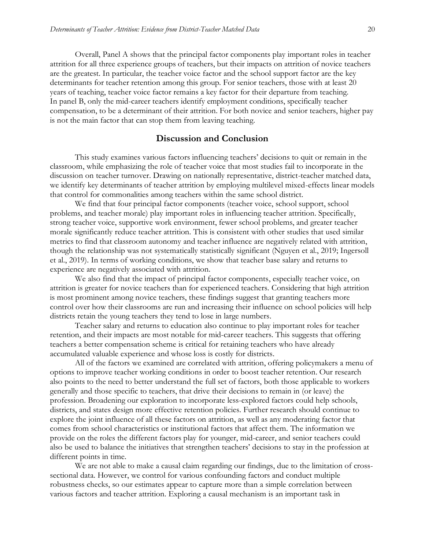Overall, Panel A shows that the principal factor components play important roles in teacher attrition for all three experience groups of teachers, but their impacts on attrition of novice teachers are the greatest. In particular, the teacher voice factor and the school support factor are the key determinants for teacher retention among this group. For senior teachers, those with at least 20 years of teaching, teacher voice factor remains a key factor for their departure from teaching. In panel B, only the mid-career teachers identify employment conditions, specifically teacher compensation, to be a determinant of their attrition. For both novice and senior teachers, higher pay is not the main factor that can stop them from leaving teaching.

#### **Discussion and Conclusion**

This study examines various factors influencing teachers' decisions to quit or remain in the classroom, while emphasizing the role of teacher voice that most studies fail to incorporate in the discussion on teacher turnover. Drawing on nationally representative, district-teacher matched data, we identify key determinants of teacher attrition by employing multilevel mixed-effects linear models that control for commonalities among teachers within the same school district.

We find that four principal factor components (teacher voice, school support, school problems, and teacher morale) play important roles in influencing teacher attrition. Specifically, strong teacher voice, supportive work environment, fewer school problems, and greater teacher morale significantly reduce teacher attrition. This is consistent with other studies that used similar metrics to find that classroom autonomy and teacher influence are negatively related with attrition, though the relationship was not systematically statistically significant (Nguyen et al., 2019; Ingersoll et al., 2019). In terms of working conditions, we show that teacher base salary and returns to experience are negatively associated with attrition.

We also find that the impact of principal factor components, especially teacher voice, on attrition is greater for novice teachers than for experienced teachers. Considering that high attrition is most prominent among novice teachers, these findings suggest that granting teachers more control over how their classrooms are run and increasing their influence on school policies will help districts retain the young teachers they tend to lose in large numbers.

Teacher salary and returns to education also continue to play important roles for teacher retention, and their impacts are most notable for mid-career teachers. This suggests that offering teachers a better compensation scheme is critical for retaining teachers who have already accumulated valuable experience and whose loss is costly for districts.

All of the factors we examined are correlated with attrition, offering policymakers a menu of options to improve teacher working conditions in order to boost teacher retention. Our research also points to the need to better understand the full set of factors, both those applicable to workers generally and those specific to teachers, that drive their decisions to remain in (or leave) the profession. Broadening our exploration to incorporate less-explored factors could help schools, districts, and states design more effective retention policies. Further research should continue to explore the joint influence of all these factors on attrition, as well as any moderating factor that comes from school characteristics or institutional factors that affect them. The information we provide on the roles the different factors play for younger, mid-career, and senior teachers could also be used to balance the initiatives that strengthen teachers' decisions to stay in the profession at different points in time.

We are not able to make a causal claim regarding our findings, due to the limitation of crosssectional data. However, we control for various confounding factors and conduct multiple robustness checks, so our estimates appear to capture more than a simple correlation between various factors and teacher attrition. Exploring a causal mechanism is an important task in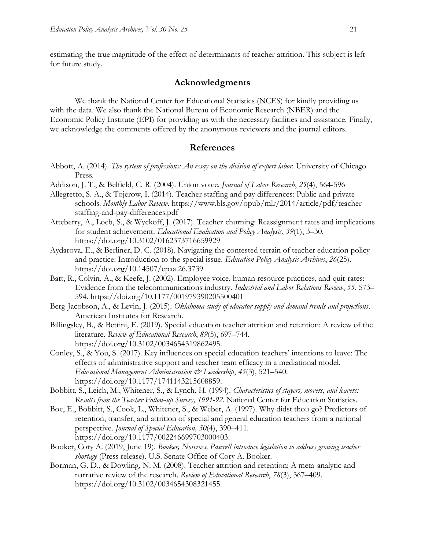estimating the true magnitude of the effect of determinants of teacher attrition. This subject is left for future study.

#### **Acknowledgments**

We thank the National Center for Educational Statistics (NCES) for kindly providing us with the data. We also thank the National Bureau of Economic Research (NBER) and the Economic Policy Institute (EPI) for providing us with the necessary facilities and assistance. Finally, we acknowledge the comments offered by the anonymous reviewers and the journal editors.

#### **References**

- Abbott, A. (2014). *The system of professions: An essay on the division of expert labor.* University of Chicago Press.
- Addison, J. T., & Belfield, C. R. (2004). Union voice. *Journal of Labor Research*, *25*(4), 564-596
- Allegretto, S. A., & Tojerow, I. (2014). Teacher staffing and pay differences: Public and private schools. *Monthly Labor Review*. [https://www.bls.gov/opub/mlr/2014/article/pdf/teacher](https://www.bls.gov/opub/mlr/2014/article/pdf/teacher-staffing-and-pay-differences.pdf)[staffing-and-pay-differences.pdf](https://www.bls.gov/opub/mlr/2014/article/pdf/teacher-staffing-and-pay-differences.pdf)
- Atteberry, A., Loeb, S., & Wyckoff, J. (2017). Teacher churning: Reassignment rates and implications for student achievement. *Educational Evaluation and Policy Analysis*, *39*(1), 3–30. <https://doi.org/10.3102/0162373716659929>
- Aydarova, E., & Berliner, D. C. (2018). Navigating the contested terrain of teacher education policy and practice: Introduction to the special issue. *Education Policy Analysis Archives*, *26*(25). <https://doi.org/10.14507/epaa.26.3739>
- Batt, R., Colvin, A., & Keefe, J. (2002). Employee voice, human resource practices, and quit rates: Evidence from the telecommunications industry. *Industrial and Labor Relations Review*, *55*, 573– 594.<https://doi.org/10.1177/001979390205500401>
- Berg-Jacobson, A., & Levin, J. (2015). *[Oklahoma study of educator supply and demand trends and projections](https://sde.ok.gov/sites/default/files/documents/files/15-3778_OK%20Study%20of%20Educator%20Supply%20and%20Demand%20Final%20Report%20Revised%2010_12_15.pdf)*. American Institutes for Research.
- Billingsley, B., & Bettini, E. (2019). Special education teacher attrition and retention: A review of the literature. *Review of Educational Research*, *89*(5), 697–744. [https://doi.org/10.3102/0034654319862495.](https://doi.org/10.3102/0034654319862495)
- Conley, S., & You, S. (2017). Key influences on special education teachers' intentions to leave: The effects of administrative support and teacher team efficacy in a mediational model. *Educational Management Administration & Leadership*, *45*(3), 521–540. [https://doi.org/10.1177/1741143215608859.](https://doi.org/10.1177/1741143215608859)
- Bobbitt, S., Leich, M., Whitener, S., & Lynch, H. (1994). *[Characteristics of stayers, movers, and leavers:](https://nces.ed.gov/pubs94/94337.pdf)  [Results from the Teacher Follow-up Survey,](https://nces.ed.gov/pubs94/94337.pdf) 1991-92*. National Center for Education Statistics.
- Boe, E., Bobbitt, S., Cook, L., Whitener, S., & Weber, A. (1997). Why didst thou go? Predictors of retention, transfer, and attrition of special and general education teachers from a national perspective. *Journal of Special Education, 30*(4), 390–411. [https://doi.org/10.1177/002246699703000403.](https://doi.org/10.1177%2F002246699703000403)
- Booker, Cory A. (2019, June 19). *Booker, Norcross, Pascrell introduce legislation to address growing teacher shortage* (Press release). U.S. Senate Office of Cory A. Booker.
- Borman, G. D., & Dowling, N. M. (2008). Teacher attrition and retention: A meta-analytic and narrative review of the research. *Review of Educational Research*, *78*(3), 367–409. [https://doi.org/10.3102/0034654308321455.](https://doi.org/10.3102/0034654308321455)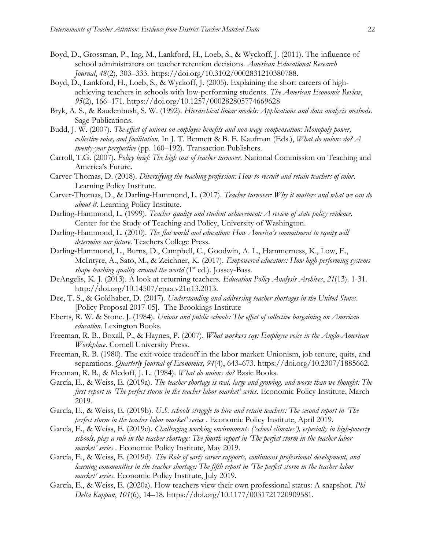- Boyd, D., Grossman, P., Ing, M., Lankford, H., Loeb, S., & Wyckoff, J. (2011). The influence of school administrators on teacher retention decisions. *American Educational Research Journal*, *48*(2), 303–333. [https://doi.org/10.3102/0002831210380788.](https://doi.org/10.3102/0002831210380788)
- Boyd, D., Lankford, H., Loeb, S., & Wyckoff, J. (2005). Explaining the short careers of highachieving teachers in schools with low-performing students. *The American Economic Review*, *95*(2), 166–171. https://doi.org/10.1257/000282805774669628
- Bryk, A. S., & Raudenbush, S. W. (1992). *Hierarchical linear models: Applications and data analysis methods*. Sage Publications.
- Budd, J. W. (2007). *The effect of unions on employee benefits and non-wage compensation: Monopoly power, collective voice, and facilitation*. In J. T. Bennett & B. E. Kaufman (Eds.), *What do unions do? A twenty-year perspective* (pp. 160–192). Transaction Publishers.
- Carroll, T.G. (2007). *Policy brief: The high cost of teacher [turnover](https://eric.ed.gov/?id=ED498001)*. National Commission on Teaching and America's Future.
- Carver-Thomas, D. (2018). *[Diversifying the teaching profession: How to recruit and retain teachers of color](https://learningpolicyinstitute.org/product/diversifying-teaching-profession)*. Learning Policy Institute.
- Carver-Thomas, D., & Darling-Hammond, L. (2017). *Teacher [turnover:](https://learningpolicyinstitute.org/sites/default/files/product-files/Teacher_Turnover_REPORT.pdf) Why it matters and what we can do [about](https://learningpolicyinstitute.org/sites/default/files/product-files/Teacher_Turnover_REPORT.pdf) it*. Learning Policy Institute.
- Darling-Hammond, L. (1999). *Teacher quality and student [achievement:](https://www.education.uw.edu/ctp/sites/default/files/ctpmail/PDFs/LDH_1999.pdf) A review of state policy evidence.* Center for the Study of Teaching and Policy, University of Washington.
- Darling-Hammond, L. (2010). *The flat world and education: How America's commitment to equity will determine our future*. Teachers College Press.
- Darling-Hammond, L., Burns, D., Campbell, C., Goodwin, A. L., Hammerness, K., Low, E., McIntyre, A., Sato, M., & Zeichner, K. (2017). *Empowered educators: How high-performing systems shape teaching quality around the world* (1<sup>st</sup> ed.). Jossey-Bass.
- DeAngelis, K. J. (2013). A look at returning teachers. *Education Policy Analysis Archives*, *21*(13). 1-31. [http://doi.org/10.14507/epaa.v21n13.2013.](http://doi.org/10.14507/epaa.v21n13.2013)
- Dee, T. S., & Goldhaber, D. (2017). *[Understanding and addressing teacher shortages in the United States](https://www.brookings.edu/wp-content/uploads/2017/04/es_20170426_understanding_and_addressing_teacher_shortages_in_us_pp_dee_goldhaber.pdf)*. [Policy Proposal 2017-05]. The Brookings Institute
- Eberts, R. W. & Stone. J. (1984). *Unions and public schools: The effect of collective bargaining on American education*. Lexington Books.
- Freeman, R. B., Boxall, P., & Haynes, P. (2007). *What workers say: Employee voice in the Anglo-American Workplace*. Cornell University Press.
- Freeman, R. B. (1980). The exit-voice tradeoff in the labor market: Unionism, job tenure, quits, and separations. *Quarterly Journal of Economics, 94*(4), 643–673. [https://doi.org/10.2307/1885662.](https://doi.org/10.2307/1885662)
- Freeman, R. B., & Medoff, J. L. (1984). *What do unions do?* Basic Books.
- García, E., & Weiss, E. (2019a). *[The teacher shortage is real, large and growing, and worse than we thought: The](https://www.epi.org/publication/the-teacher-shortage-is-real-large-and-growing-and-worse-than-we-thought-the-first-report-in-the-perfect-storm-in-the-teacher-labor-market-series/)  first report in 'The [perfect storm in the teacher labor m](https://www.epi.org/publication/the-teacher-shortage-is-real-large-and-growing-and-worse-than-we-thought-the-first-report-in-the-perfect-storm-in-the-teacher-labor-market-series/)arket' series*. Economic Policy Institute, March 2019.
- García, E., & Weiss, E. (2019b). *[U.S. schools struggle to hire and retain teachers: The second](https://www.epi.org/publication/u-s-schools-struggle-to-hire-and-retain-teachers-the-second-report-in-the-perfect-storm-in-the-teacher-labor-market-series/) report in The [perfect storm in the teacher labor market' series](https://www.epi.org/publication/u-s-schools-struggle-to-hire-and-retain-teachers-the-second-report-in-the-perfect-storm-in-the-teacher-labor-market-series/)* . Economic Policy Institute, April 2019.
- García, E., & Weiss, E. (2019c). *Challenging working environments ('school climates'), [especially in high-poverty](https://www.epi.org/publication/school-climate-challenges-affect-teachers-morale-more-so-in-high-poverty-schools-the-fourth-report-in-the-perfect-storm-in-the-teacher-labor-market-series/)  [schools, play a role in the teacher shortage: The fourth](https://www.epi.org/publication/school-climate-challenges-affect-teachers-morale-more-so-in-high-poverty-schools-the-fourth-report-in-the-perfect-storm-in-the-teacher-labor-market-series/) report in 'The perfect storm in the teacher labor [market' series](https://www.epi.org/publication/school-climate-challenges-affect-teachers-morale-more-so-in-high-poverty-schools-the-fourth-report-in-the-perfect-storm-in-the-teacher-labor-market-series/)* . Economic Policy Institute, May 2019.
- García, E., & Weiss, E. (2019d). *[The Role of early career supports, continuous professional development, and](https://www.epi.org/publication/teacher-shortage-professional-development-and-learning-communities/)  [learning communities in the teacher shortage: The fifth](https://www.epi.org/publication/teacher-shortage-professional-development-and-learning-communities/) report in 'The perfect storm in the teacher labor [market' series](https://www.epi.org/publication/teacher-shortage-professional-development-and-learning-communities/)*. Economic Policy Institute, July 2019.
- García, E., & Weiss, E. (2020a). How teachers view their own professional status: A snapshot. *Phi Delta Kappan*, *101*(6), 14–18. https://doi.org/10.1177/0031721720909581.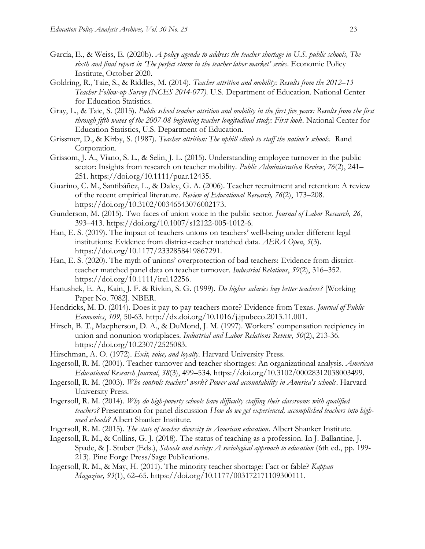- García, E., & Weiss, E. (2020b). *[A policy agenda to address the teacher shortage in U.S. public schools, The](https://www.epi.org/publication/a-policy-agenda-to-address-the-teacher-shortage-in-u-s-public-schools/)  [sixth and final](https://www.epi.org/publication/a-policy-agenda-to-address-the-teacher-shortage-in-u-s-public-schools/) report in 'The perfect storm in the teacher labor market' series*. Economic Policy Institute, October 2020.
- Goldring, R., Taie, S., & Riddles, M. (2014). *[Teacher attrition and mobility: Results from the 2012](https://nces.ed.gov/pubs2014/2014077.pdf)–13 [Teacher Follow-up Survey \(NCES 2014-077\)](https://nces.ed.gov/pubs2014/2014077.pdf)*. U.S. Department of Education. National Center for Education Statistics.
- Gray, L., & Taie, S. (2015). *[Public school teacher attrition and mobility in the first five years: Results from the first](https://nces.ed.gov/pubs2015/2015337.pdf)  [through fifth waves of the 2007-08 beginning teacher longitudinal study: First look.](https://nces.ed.gov/pubs2015/2015337.pdf)* National Center for Education Statistics, U.S. Department of Education.
- Grissmer, D., & Kirby, S. (1987). *[Teacher attrition: The uphill climb to staff the n](https://files.eric.ed.gov/fulltext/ED291735.pdf)ation's schools.* Rand Corporation.
- Grissom, J. A., Viano, S. L., & Selin, J. L. (2015). Understanding employee turnover in the public sector: Insights from research on teacher mobility. *Public Administration Review*, *76*(2), 241– 251. [https://doi.org/10.1111/puar.12435.](https://doi.org/10.1111/puar.12435)
- Guarino, C. M., Santibáñez, L., & Daley, G. A. (2006). Teacher recruitment and retention: A review of the recent empirical literature. *Review of Educational Research, 76*(2), 173–208. [https://doi.org/10.3102/00346543076002173.](https://doi.org/10.3102/00346543076002173)
- Gunderson, M. (2015). Two faces of union voice in the public sector. *Journal of Labor Research, 26*, 393–413. [https://doi.org/10.1007/s12122-005-1012-6.](https://doi.org/10.1007/s12122-005-1012-6)
- Han, E. S. (2019). The impact of teachers unions on teachers' well-being under different legal institutions: Evidence from district-teacher matched data. *AERA Open*, *5*(3). https://doi.org/10.1177/2332858419867291.
- Han, E. S. (2020). The myth of unions' overprotection of bad teachers: Evidence from districtteacher matched panel data on teacher turnover. *Industrial Relations*, *59*(2), 316–352. [https://doi.org/10.1111/irel.12256.](https://doi.org/10.1111/irel.12256)
- Hanushek, E. A., Kain, J. F. & Rivkin, S. G. (1999). *[Do higher salaries buy better teachers?](https://www.nber.org/papers/w7082)* [Working Paper No. 7082]. NBER.
- Hendricks, M. D. (2014). Does it pay to pay teachers more? Evidence from Texas. *Journal of Public Economics*, *109*, 50-63. [http://dx.doi.org/10.1016/j.jpubeco.2013.11.001.](http://dx.doi.org/10.1016/j.jpubeco.2013.11.001)
- Hirsch, B. T., Macpherson, D. A., & DuMond, J. M. (1997). Workers' compensation recipiency in union and nonunion workplaces. *Industrial and Labor Relations Review, 50*(2), 213-36. [https://doi.org/10.2307/2525083.](https://doi.org/10.2307/2525083)
- Hirschman, A. O. (1972). *Exit, voice, and loyalty*. Harvard University Press.
- Ingersoll, R. M. (2001). Teacher turnover and teacher shortages: An organizational analysis. *American Educational Research Journal*, *38*(3), 499–534. [https://doi.org/10.3102/00028312038003499.](https://doi.org/10.3102/00028312038003499)
- Ingersoll, R. M. (2003). *Who controls teachers' work? Power and accountability in America's schools*. Harvard University Press.
- Ingersoll, R. M. (2014). *[Why do high-poverty schools have difficulty staffing their classrooms with qualified](http://www.shankerinstitute.org/sites/shanker/files/ASI%20Talk%20Oct%202014%20%20Ingersoll.pdf)  [teachers?](http://www.shankerinstitute.org/sites/shanker/files/ASI%20Talk%20Oct%202014%20%20Ingersoll.pdf)* Presentation for panel discussion *How do we get experienced, [accomplished](http://www.shankerinstitute.org/audio-visual/how-do-we-get-experienced-accomplished-teachers-high-need-schools) teachers into highneed [schools?](http://www.shankerinstitute.org/audio-visual/how-do-we-get-experienced-accomplished-teachers-high-need-schools)* Albert Shanker Institute.
- Ingersoll, R. M. (2015). *The state of teacher diversity in [American](http://scholar.gse.upenn.edu/rmi/files/the_state_of_teacher_diversity_ingersoll_chapter_v2.pdf) education*. Albert Shanker Institute.
- Ingersoll, R. M., & Collins, G. J. (2018). The status of teaching as a profession. In J. Ballantine, J. Spade, & J. Stuber (Eds.), *Schools and society: A sociological approach to education* (6th ed., pp. 199- 213). Pine Forge Press/Sage Publications.
- Ingersoll, R. M., & May, H. (2011). The minority teacher shortage: Fact or fable? *Kappan Magazine, 93*(1), 62–65. [https://doi.org/10.1177/003172171109300111.](https://doi.org/10.1177/003172171109300111)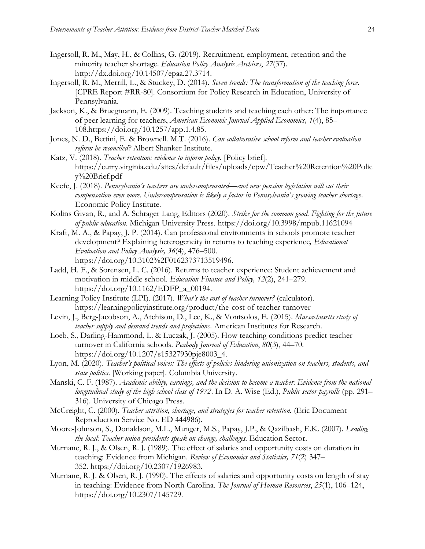- Ingersoll, R. M., May, H., & Collins, G. (2019). Recruitment, employment, retention and the minority teacher shortage. *Education Policy Analysis Archives*, *27*(37). [http://dx.doi.org/10.14507/epaa.27.3714.](http://dx.doi.org/10.14507/epaa.27.3714)
- Ingersoll, R. M., Merrill, L., & Stuckey, D. (2014). *Seven trends: The [transformation](https://repository.upenn.edu/cgi/viewcontent.cgi?article=1109&context=cpre_researchreports) of the teaching force*. [CPRE Report #RR-80]. Consortium for Policy Research in Education, University of Pennsylvania.
- Jackson, K., & Bruegmann, E. (2009). Teaching students and teaching each other: The importance of peer learning for teachers, *American Economic Journal Applied Economics, 1*(4), 85– 108.https://doi.org/10.1257/app.1.4.85.
- Jones, N. D., Bettini, E. & Brownell. M.T. (2016). *Can collaborative school reform and teacher evaluation reform be reconciled?* Albert Shanker Institute.
- Katz, V. (2018). *Teacher [retention:](https://curry.virginia.edu/sites/default/files/uploads/epw/Teacher%20Retention%20Policy%20Brief.pdf) evidence to inform policy.* [Policy brief]. https://curry.virginia.edu/sites/default/files/uploads/epw/Teacher%20Retention%20Polic y%20Brief.pdf
- Keefe, J. (2018). *[Pennsylvania's teachers are undercompensated—](https://www.epi.org/publication/pennsylvanias-teachers-are-undercompensated-and-new-pension-legislation-will-cut-their-compensation-even-more-undercompensation-is-likely-a-factor-in-pennsylvanias-growing-t/)and new pension legislation will cut their [compensation even more. Undercompensation is likely a factor in Pennsylvania's growing teacher shortage](https://www.epi.org/publication/pennsylvanias-teachers-are-undercompensated-and-new-pension-legislation-will-cut-their-compensation-even-more-undercompensation-is-likely-a-factor-in-pennsylvanias-growing-t/)*. Economic Policy Institute.
- Kolins Givan, R., and A. Schrager Lang, Editors (2020). *Strike for the common good. Fighting for the future of public education*. Michigan University Press. https://doi.org/10.3998/mpub.11621094
- Kraft, M. A., & Papay, J. P. (2014). Can professional environments in schools promote teacher development? Explaining heterogeneity in returns to teaching experience*, Educational Evaluation and Policy Analysis, 36*(4), 476–500. [https://doi.org/10.3102%2F0162373713519496.](https://doi.org/10.3102%2F0162373713519496)
- Ladd, H. F., & Sorensen, L. C. (2016). Returns to teacher experience: Student achievement and motivation in middle school. *Education Finance and Policy, 12*(2), 241–279. https://doi.org/10.1162/EDFP\_a\_00194.
- Learning Policy Institute (LPI). (2017). *What's the cost of teacher [turnover?](https://learningpolicyinstitute.org/product/the-cost-of-teacher-turnover)* (calculator). https://learningpolicyinstitute.org/product/the-cost-of-teacher-turnover
- Levin, J., Berg-Jacobson, A., Atchison, D., Lee, K., & Vontsolos, E. (2015). *[Massachusetts study of](https://www.air.org/sites/default/files/downloads/report/Massachusetts-Study-of-Teacher-Supply-and-Demand-December-2015.pdf)  [teacher supply and demand trends and projections](https://www.air.org/sites/default/files/downloads/report/Massachusetts-Study-of-Teacher-Supply-and-Demand-December-2015.pdf)*. American Institutes for Research.
- Loeb, S., Darling-Hammond, L. & Luczak, J. (2005). How teaching conditions predict teacher turnover in California schools. *Peabody Journal of Education*, *80*(3), 44–70. https://doi.org/10.1207/s15327930pje8003\_4.
- Lyon, M. (2020). *Teacher's political voices: The effects of policies hindering unionization on teachers, students, and state politics*. [Working paper]. Columbia University.
- Manski, C. F. (1987). *Academic ability, earnings, and the decision to become a teacher: Evidence from the national longitudinal study of the high school class of 1972*. In D. A. Wise (Ed.), *Public sector payrolls* (pp. 291– 316). University of Chicago Press.
- McCreight, C. (2000). *[Teacher attrition, shortage, and strategies for teacher retention.](https://files.eric.ed.gov/fulltext/ED444986.pdf)* (Eric Document Reproduction Service No. ED 444986).
- Moore-Johnson, S., Donaldson, M.L., Munger, M.S., Papay, J.P., & Qazilbash, E.K. (2007). *Leading the local: Teacher union presidents speak on change, challenges.* Education Sector.
- Murnane, R. J., & Olsen, R. J. (1989). The effect of salaries and opportunity costs on duration in teaching: Evidence from Michigan. *Review of Economics and Statistics, 71*(2) 347– 352. [https://doi.org/10.2307/1926983.](https://doi.org/10.2307/1926983)
- Murnane, R. J. & Olsen, R. J. (1990). The effects of salaries and opportunity costs on length of stay in teaching: Evidence from North Carolina. *The Journal of Human Resources*, *25*(1), 106–124, https://doi.org/10.2307/145729.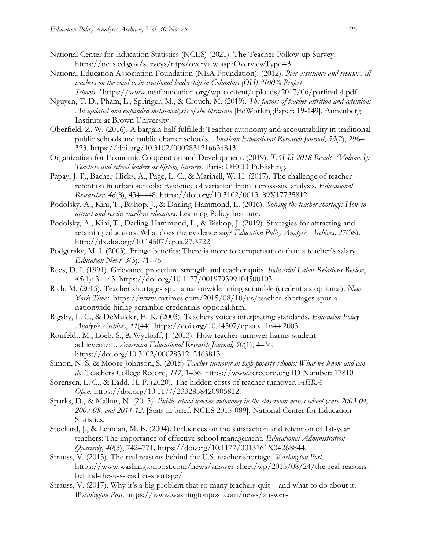- National Center for Education Statistics (NCES) (2021). The Teacher Follow-up Survey. <https://nces.ed.gov/surveys/ntps/overview.asp?OverviewType=3>
- National Education Association Foundation (NEA Foundation). (2012). *Peer assistance and review: All teachers on the road to instructional leadership in Columbus (OH) "100% Project Schools."* https://www.neafoundation.org/wp-content/uploads/2017/06/parfinal-4.pdf
- Nguyen, T. D., Pham, L., Springer, M., & Crouch, M. (2019). *[The factors of teacher attrition and retention:](https://edworkingpapers.com/ai19-149)  [An updated and expanded meta-analysis of the literature](https://edworkingpapers.com/ai19-149)* [EdWorkingPaper: 19-149]. Annenberg Institute at Brown University.
- Oberfield, Z. W. (2016). A bargain half fulfilled: Teacher autonomy and accountability in traditional public schools and public charter schools. *American Educational Research Journal*, *53*(2), 296– 323.<https://doi.org/10.3102/0002831216634843>
- Organization for Economic Cooperation and Development. (2019). *TALIS 2018 Results (Volume I): Teachers and school leaders as lifelong learners*. Paris: OECD Publishing.
- Papay, J. P., Bacher-Hicks, A., Page, L. C., & Marinell, W. H. (2017). The challenge of teacher retention in urban schools: Evidence of variation from a cross-site analysis. *Educational Researcher, 46*(8), 434–448. <https://doi.org/10.3102/0013189X17735812.>
- Podolsky, A., Kini, T., Bishop, J., & Darling-Hammond, L. (2016). *[Solving the teacher shortage: How to](https://learningpolicyinstitute.org/product/solving-teachershortage)  [attract and retain excellent educators](https://learningpolicyinstitute.org/product/solving-teachershortage)*. Learning Policy Institute.
- Podolsky, A., Kini, T., Darling-Hammond, L., & Bishop, J. (2019). Strategies for attracting and retaining educators: What does the evidence say? *Education Policy Analysis Archives, 27*(38). [http://dx.doi.org/10.14507/epaa.27.3722](https://dx.doi.org/10.14507/epaa.27.3722)
- Podgursky, M. J. (2003). Fringe benefits: There is more to compensation than a teacher's salary. *Education Next, 3*(3), 71–76.
- Rees, D. I. (1991). Grievance procedure strength and teacher quits. *Industrial Labor Relations Review*, *45*(1): 31–43. [https://doi.org/10.1177/001979399104500103.](https://doi.org/10.1177%2F001979399104500103)
- Rich, M. (2015). Teacher shortages spur a nationwide hiring scramble (credentials optional). *New York Times*. https://www.nytimes.com/2015/08/10/us/teacher-shortages-spur-anationwide-hiring-scramble-credentials-optional.html
- Rigsby, L. C., & DeMulder, E. K. (2003). Teachers voices interpreting standards. *Education Policy Analysis Archives*, *11*(44). [https://doi.org/10.14507/epaa.v11n44.2003.](https://doi.org/10.14507/epaa.v11n44.2003)
- Ronfeldt, M., Loeb, S., & Wyckoff, J. (2013). How teacher turnover harms student achievement. *American Educational Research Journal, 50*(1), 4–36. https://doi.org/10.3102/0002831212463813.
- Simon, N. S. & Moore Johnson, S. (2015) *[Teacher turnover in high-poverty schools: What we know and can](http://www.tcrecord.org/Content.asp?ContentId=17810)  [do](http://www.tcrecord.org/Content.asp?ContentId=17810)*. Teachers College Record, *117*, 1–36. https://www.tcrecord.org ID Number: 17810
- Sorensen, L. C., & Ladd, H. F. (2020). The hidden costs of teacher turnover. *AERA Open*. [https://doi.org/10.1177/2332858420905812.](https://doi.org/10.1177/2332858420905812)
- Sparks, D., & Malkus, N. (2015). *[Public school teacher autonomy in the classroom across school years 2003-04,](https://files.eric.ed.gov/fulltext/ED561873.pdf)  [2007-08, and 2011-12](https://files.eric.ed.gov/fulltext/ED561873.pdf)*. [Stats in brief. NCES 2015-089]. National Center for Education Statistics.
- Stockard, J., & Lehman, M. B. (2004). Influences on the satisfaction and retention of 1st-year teachers: The importance of effective school management. *Educational Administration Quarterly*, *40*(5), 742–771. https://doi.org/10.1177/0013161X04268844.
- Strauss, V. (2015). The real reasons behind the U.S. teacher shortage. *Washington Post*. https://www.washingtonpost.com/news/answer-sheet/wp/2015/08/24/the-real-reasonsbehind-the-u-s-teacher-shortage/
- Strauss, V. (2017). Why it's a big problem that so many teachers quit—and what to do about it. *Washington Post*. https://www.washingtonpost.com/news/answer-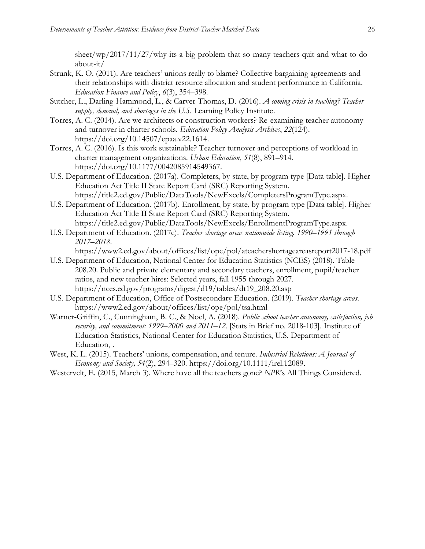sheet/wp/2017/11/27/why-its-a-big-problem-that-so-many-teachers-quit-and-what-to-doabout-it/

- Strunk, K. O. (2011). Are teachers' unions really to blame? Collective bargaining agreements and their relationships with district resource allocation and student performance in California. *Education Finance and Policy*, *6*(3), 354–398.
- Sutcher, L., Darling-Hammond, L., & Carver-Thomas, D. (2016). *A coming crisis in [teaching?](https://learningpolicyinstitute.org/product/coming-crisis-teaching) Teacher supply, demand, and [shortages](https://learningpolicyinstitute.org/product/coming-crisis-teaching) in the U.S.* Learning Policy Institute.
- Torres, A. C. (2014). Are we architects or construction workers? Re-examining teacher autonomy and turnover in charter schools. *Education Policy Analysis Archives*, *22*(124). [https://doi.org/10.14507/epaa.v22.1614.](https://doi.org/10.14507/epaa.v22.1614)
- Torres, A. C. (2016). Is this work sustainable? Teacher turnover and perceptions of workload in charter management organizations. *Urban Education*, *51*(8), 891–914. [https://doi.org/10.1177/0042085914549367.](https://doi.org/10.1177/0042085914549367)
- U.S. Department of Education. (2017a). Completers, by state, by program type [Data table]. Higher Education Act Title II State Report Card (SRC) Reporting System. https://title2.ed.gov/Public/DataTools/NewExcels/CompletersProgramType.aspx.
- U.S. Department of Education. (2017b). Enrollment, by state, by program type [Data table]. Higher Education Act Title II State Report Card (SRC) Reporting System. https://title2.ed.gov/Public/DataTools/NewExcels/EnrollmentProgramType.aspx.
- U.S. Department of Education. (2017c). *Teacher shortage areas [nationwide](https://www2.ed.gov/about/offices/list/ope/pol/bteachershortageareasreport201718.pdf) listing. 1990–1991 through [2017](https://www2.ed.gov/about/offices/list/ope/pol/bteachershortageareasreport201718.pdf)–2018*.

https://www2.ed.gov/about/offices/list/ope/pol/ateachershortageareasreport2017-18.pdf

- U.S. Department of Education, National Center for Education Statistics (NCES) (2018). Table 208.20. Public and private elementary and secondary teachers, enrollment, pupil/teacher ratios, and new teacher hires: Selected years, fall 1955 through 2027. https://nces.ed.gov/programs/digest/d19/tables/dt19\_208.20.asp
- U.S. Department of Education, Office of Postsecondary Education. (2019). *[Teacher shortage areas](https://www2.ed.gov/about/offices/list/ope/pol/tsa.html)*. https://www2.ed.gov/about/offices/list/ope/pol/tsa.html
- Warner-Griffin, C., Cunningham, B. C., & Noel, A. (2018). *Public school teacher autonomy, [satisfaction,](https://nces.ed.gov/pubsearch/pubsinfo.asp?pubid=2018103) job security, and [commitment:](https://nces.ed.gov/pubsearch/pubsinfo.asp?pubid=2018103) 1999–2000 and 2011–12*. [Stats in Brief no. 2018-103]. Institute of Education Statistics, National Center for Education Statistics, U.S. Department of Education, .
- West, K. L. (2015). Teachers' unions, compensation, and tenure. *Industrial Relations: A Journal of Economy and Society, 54*(2), 294–320. [https://doi.org/10.1111/irel.12089.](https://doi.org/10.1111/irel.12089)
- Westervelt, E. (2015, March 3). Where have all the teachers gone? *NPR*'s All Things Considered.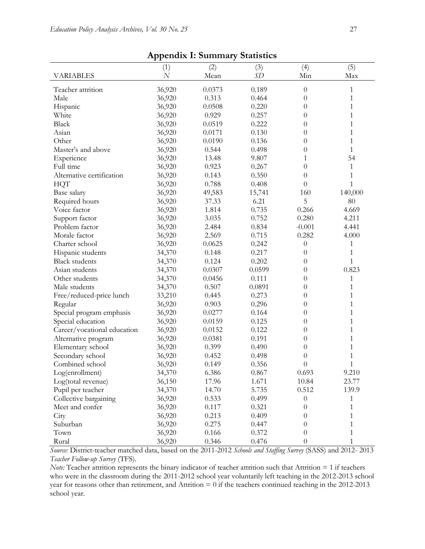| дрренит на зининату знаивнев |                |        |        |                  |              |  |  |  |  |
|------------------------------|----------------|--------|--------|------------------|--------------|--|--|--|--|
|                              | (1)            | (2)    | (3)    | (4)              | (5)          |  |  |  |  |
| <b>VARIABLES</b>             | $\overline{N}$ | Mean   | SD     | Min              | Max          |  |  |  |  |
| Teacher attrition            | 36,920         | 0.0373 | 0.189  | $\boldsymbol{0}$ | 1            |  |  |  |  |
| Male                         | 36,920         | 0.313  | 0.464  | $\theta$         | 1            |  |  |  |  |
| Hispanic                     | 36,920         | 0.0508 | 0.220  | $\overline{0}$   | $\mathbf{1}$ |  |  |  |  |
| White                        | 36,920         | 0.929  | 0.257  | 0                | 1            |  |  |  |  |
| <b>Black</b>                 | 36,920         | 0.0519 | 0.222  | 0                | 1            |  |  |  |  |
| Asian                        | 36,920         | 0.0171 | 0.130  | 0                | 1            |  |  |  |  |
| Other                        | 36,920         | 0.0190 | 0.136  | 0                | 1            |  |  |  |  |
| Master's and above           | 36,920         | 0.544  | 0.498  | $\overline{0}$   | $\mathbf{1}$ |  |  |  |  |
| Experience                   | 36,920         | 13.48  | 9.807  | 1                | 54           |  |  |  |  |
| Full time                    | 36,920         | 0.923  | 0.267  | $\overline{0}$   | 1            |  |  |  |  |
| Alternative certification    | 36,920         | 0.143  | 0.350  | $\overline{0}$   | 1            |  |  |  |  |
| <b>HQT</b>                   | 36,920         | 0.788  | 0.408  | $\overline{0}$   | $\mathbf{1}$ |  |  |  |  |
| Base salary                  | 36,920         | 49,583 | 15,741 | 160              | 140,000      |  |  |  |  |
| Required hours               | 36,920         | 37.33  | 6.21   | 5                | 80           |  |  |  |  |
| Voice factor                 | 36,920         | 1.814  | 0.735  | 0.266            | 4.669        |  |  |  |  |
| Support factor               | 36,920         | 3.035  | 0.752  | 0.280            | 4.211        |  |  |  |  |
| Problem factor               | 36,920         | 2.484  | 0.834  | $-0.001$         | 4.441        |  |  |  |  |
| Morale factor                | 36,920         | 2.569  | 0.715  | 0.282            | 4.000        |  |  |  |  |
| Charter school               | 36,920         | 0.0625 | 0.242  | $\theta$         | 1            |  |  |  |  |
| Hispanic students            | 34,370         | 0.148  | 0.217  | $\theta$         | 1            |  |  |  |  |
| <b>Black students</b>        | 34,370         | 0.124  | 0.202  | $\theta$         | $\mathbf{1}$ |  |  |  |  |
| Asian students               | 34,370         | 0.0307 | 0.0599 | 0                | 0.823        |  |  |  |  |
| Other students               | 34,370         | 0.0456 | 0.111  | 0                | 1            |  |  |  |  |
| Male students                | 34,370         | 0.507  | 0.0891 | 0                | 1            |  |  |  |  |
| Free/reduced-price lunch     | 33,210         | 0.445  | 0.273  | $\overline{0}$   | 1            |  |  |  |  |
| Regular                      | 36,920         | 0.903  | 0.296  | $\overline{0}$   | 1            |  |  |  |  |
| Special program emphasis     | 36,920         | 0.0277 | 0.164  | $\overline{0}$   | 1            |  |  |  |  |
| Special education            | 36,920         | 0.0159 | 0.125  | $\overline{0}$   | 1            |  |  |  |  |
| Career/vocational education  | 36,920         | 0.0152 | 0.122  | $\overline{0}$   | 1            |  |  |  |  |
| Alternative program          | 36,920         | 0.0381 | 0.191  | $\overline{0}$   | 1            |  |  |  |  |
| Elementary school            | 36,920         | 0.399  | 0.490  | $\boldsymbol{0}$ | 1            |  |  |  |  |
| Secondary school             | 36,920         | 0.452  | 0.498  | $\boldsymbol{0}$ | 1            |  |  |  |  |
| Combined school              | 36,920         | 0.149  | 0.356  | $\overline{0}$   | 1            |  |  |  |  |
| Log(enrollment)              | 34,370         | 6.386  | 0.867  | 0.693            | 9.210        |  |  |  |  |
| Log(total revenue)           | 36,150         | 17.96  | 1.671  | 10.84            | 23.77        |  |  |  |  |
| Pupil per teacher            | 34,370         | 14.70  | 5.735  | 0.512            | 139.9        |  |  |  |  |
| Collective bargaining        | 36,920         | 0.533  | 0.499  | $\theta$         | 1            |  |  |  |  |
| Meet and confer              | 36,920         | 0.117  | 0.321  | $\theta$         | 1            |  |  |  |  |
| City                         | 36,920         | 0.213  | 0.409  | 0                | 1            |  |  |  |  |
| Suburban                     | 36,920         | 0.275  | 0.447  | 0                | 1            |  |  |  |  |
| Town                         | 36,920         | 0.166  | 0.372  | $\theta$         | 1            |  |  |  |  |
| Rural                        | 36,920         | 0.346  | 0.476  | $\boldsymbol{0}$ | 1            |  |  |  |  |

**Appendix I: Summary Statistics**

*Source:* District-teacher matched data, based on the 2011-2012 *Schools and Staffing Survey* (SASS) and 2012- 2013 *Teacher Follow-up Survey* (TFS).

*Note:* Teacher attrition represents the binary indicator of teacher attrition such that Attrition = 1 if teachers who were in the classroom during the 2011-2012 school year voluntarily left teaching in the 2012-2013 school year for reasons other than retirement, and Attrition = 0 if the teachers continued teaching in the 2012-2013 school year.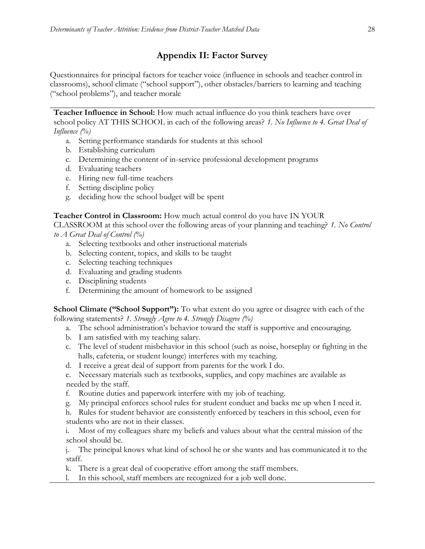## **Appendix II: Factor Survey**

Questionnaires for principal factors for teacher voice (influence in schools and teacher control in classrooms), school climate ("school support"), other obstacles/barriers to learning and teaching ("school problems"), and teacher morale

**Teacher Influence in School:** How much actual influence do you think teachers have over school policy AT THIS SCHOOL in each of the following areas? *1. No Influence to 4. Great Deal of Influence (%)*

- a. Setting performance standards for students at this school
- b. Establishing curriculum
- c. Determining the content of in-service professional development programs
- d. Evaluating teachers
- e. Hiring new full-time teachers
- f. Setting discipline policy
- g. deciding how the school budget will be spent

### **Teacher Control in Classroom:** How much actual control do you have IN YOUR

CLASSROOM at this school over the following areas of your planning and teaching? *1. No Control to A Great Deal of Control (%)*

- a. Selecting textbooks and other instructional materials
- b. Selecting content, topics, and skills to be taught
- c. Selecting teaching techniques
- d. Evaluating and grading students
- e. Disciplining students
- f. Determining the amount of homework to be assigned

**School Climate ("School Support"):** To what extent do you agree or disagree with each of the following statements? *1. Strongly Agree to 4. Strongly Disagree (%)*

- a. The school administration's behavior toward the staff is supportive and encouraging.
- b. I am satisfied with my teaching salary.
- c. The level of student misbehavior in this school (such as noise, horseplay or fighting in the halls, cafeteria, or student lounge) interferes with my teaching.
- d. I receive a great deal of support from parents for the work I do.
- e. Necessary materials such as textbooks, supplies, and copy machines are available as needed by the staff.
- f. Routine duties and paperwork interfere with my job of teaching.
- g. My principal enforces school rules for student conduct and backs me up when I need it.
- h. Rules for student behavior are consistently enforced by teachers in this school, even for students who are not in their classes.
- i. Most of my colleagues share my beliefs and values about what the central mission of the school should be.

j. The principal knows what kind of school he or she wants and has communicated it to the staff.

k. There is a great deal of cooperative effort among the staff members.

l. In this school, staff members are recognized for a job well done.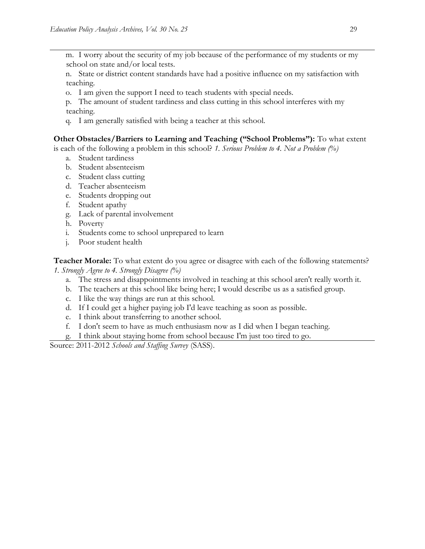m. I worry about the security of my job because of the performance of my students or my school on state and/or local tests.

n. State or district content standards have had a positive influence on my satisfaction with teaching.

o. I am given the support I need to teach students with special needs.

p. The amount of student tardiness and class cutting in this school interferes with my teaching.

q. I am generally satisfied with being a teacher at this school.

#### **Other Obstacles/Barriers to Learning and Teaching ("School Problems"):** To what extent

is each of the following a problem in this school? *1. Serious Problem to 4. Not a Problem (%)*

- a. Student tardiness
- b. Student absenteeism
- c. Student class cutting
- d. Teacher absenteeism
- e. Students dropping out
- f. Student apathy
- g. Lack of parental involvement
- h. Poverty
- i. Students come to school unprepared to learn
- j. Poor student health

**Teacher Morale:** To what extent do you agree or disagree with each of the following statements? *1. Strongly Agree to 4. Strongly Disagree (%)*

- a. The stress and disappointments involved in teaching at this school aren't really worth it.
- b. The teachers at this school like being here; I would describe us as a satisfied group.
- c. I like the way things are run at this school.
- d. If I could get a higher paying job I'd leave teaching as soon as possible.
- e. I think about transferring to another school.
- f. I don't seem to have as much enthusiasm now as I did when I began teaching.
- g. I think about staying home from school because I'm just too tired to go.

Source: 2011-2012 *Schools and Staffing Survey* (SASS).